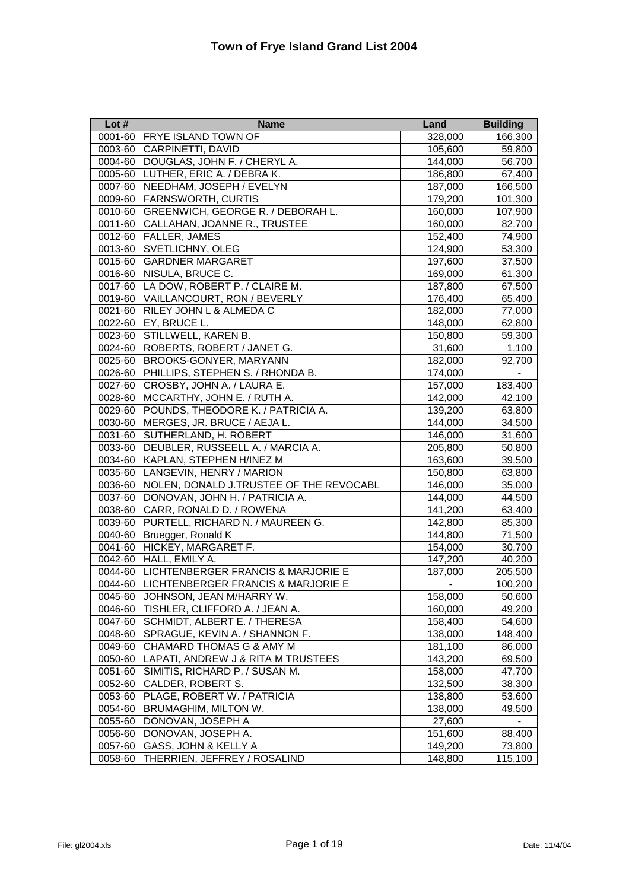| Lot#    | <b>Name</b>                             | <b>Land</b>    | <b>Building</b> |
|---------|-----------------------------------------|----------------|-----------------|
| 0001-60 | <b>FRYE ISLAND TOWN OF</b>              | 328,000        | 166,300         |
| 0003-60 | CARPINETTI, DAVID                       | 105,600        | 59,800          |
| 0004-60 | DOUGLAS, JOHN F. / CHERYL A.            | 144,000        | 56,700          |
|         | 0005-60 LUTHER, ERIC A. / DEBRA K.      | 186,800        | 67,400          |
| 0007-60 | NEEDHAM, JOSEPH / EVELYN                | 187,000        | 166,500         |
| 0009-60 | <b>FARNSWORTH, CURTIS</b>               | 179,200        | 101,300         |
| 0010-60 | GREENWICH, GEORGE R. / DEBORAH L.       | 160,000        | 107,900         |
| 0011-60 | CALLAHAN, JOANNE R., TRUSTEE            | 160,000        | 82,700          |
| 0012-60 | <b>FALLER, JAMES</b>                    | 152,400        | 74,900          |
| 0013-60 | <b>SVETLICHNY, OLEG</b>                 | 124,900        | 53,300          |
| 0015-60 | <b>GARDNER MARGARET</b>                 | 197,600        | 37,500          |
| 0016-60 | NISULA, BRUCE C.                        | 169,000        | 61,300          |
| 0017-60 | LA DOW, ROBERT P. / CLAIRE M.           | 187,800        | 67,500          |
|         | 0019-60 VAILLANCOURT, RON / BEVERLY     | 176,400        | 65,400          |
| 0021-60 | <b>RILEY JOHN L &amp; ALMEDA C</b>      | 182,000        | 77,000          |
|         | 0022-60   EY, BRUCE L.                  | 148,000        | 62,800          |
|         | 0023-60 STILLWELL, KAREN B.             | 150,800        | 59,300          |
| 0024-60 | ROBERTS, ROBERT / JANET G.              | 31,600         | 1,100           |
| 0025-60 | <b>BROOKS-GONYER, MARYANN</b>           | 182,000        | 92,700          |
| 0026-60 | PHILLIPS, STEPHEN S. / RHONDA B.        | 174,000        | $\blacksquare$  |
| 0027-60 | CROSBY, JOHN A. / LAURA E.              | 157,000        | 183,400         |
| 0028-60 | MCCARTHY, JOHN E. / RUTH A.             | 142,000        | 42,100          |
| 0029-60 | POUNDS, THEODORE K. / PATRICIA A.       | 139,200        | 63,800          |
| 0030-60 | MERGES, JR. BRUCE / AEJA L.             | 144,000        | 34,500          |
| 0031-60 | SUTHERLAND, H. ROBERT                   | 146,000        | 31,600          |
| 0033-60 | DEUBLER, RUSSEELL A. / MARCIA A.        | 205,800        | 50,800          |
| 0034-60 | KAPLAN, STEPHEN H/INEZ M                | 163,600        | 39,500          |
|         | 0035-60 LANGEVIN, HENRY / MARION        | 150,800        | 63,800          |
| 0036-60 | NOLEN, DONALD J.TRUSTEE OF THE REVOCABL | 146,000        | 35,000          |
| 0037-60 | DONOVAN, JOHN H. / PATRICIA A.          | 144,000        | 44,500          |
| 0038-60 | CARR, RONALD D. / ROWENA                | 141,200        | 63,400          |
| 0039-60 | PURTELL, RICHARD N. / MAUREEN G.        | 142,800        | 85,300          |
| 0040-60 | Bruegger, Ronald K                      | 144,800        | 71,500          |
| 0041-60 | HICKEY, MARGARET F.                     | 154,000        | 30,700          |
| 0042-60 | HALL, EMILY A.                          | 147,200        | 40,200          |
| 0044-60 | LICHTENBERGER FRANCIS & MARJORIE E      | 187,000        | 205,500         |
| 0044-60 | LICHTENBERGER FRANCIS & MARJORIE E      | $\blacksquare$ | 100,200         |
| 0045-60 | JOHNSON, JEAN M/HARRY W.                | 158,000        | 50,600          |
| 0046-60 | TISHLER, CLIFFORD A. / JEAN A.          | 160,000        | 49,200          |
| 0047-60 | SCHMIDT, ALBERT E. / THERESA            | 158,400        | 54,600          |
| 0048-60 | SPRAGUE, KEVIN A. / SHANNON F.          | 138,000        | 148,400         |
| 0049-60 | CHAMARD THOMAS G & AMY M                | 181,100        | 86,000          |
| 0050-60 | LAPATI, ANDREW J & RITA M TRUSTEES      | 143,200        | 69,500          |
| 0051-60 | SIMITIS, RICHARD P. / SUSAN M.          | 158,000        | 47,700          |
| 0052-60 | CALDER, ROBERT S.                       | 132,500        | 38,300          |
| 0053-60 | PLAGE, ROBERT W. / PATRICIA             | 138,800        | 53,600          |
| 0054-60 | BRUMAGHIM, MILTON W.                    | 138,000        | 49,500          |
| 0055-60 | DONOVAN, JOSEPH A                       | 27,600         |                 |
| 0056-60 | DONOVAN, JOSEPH A.                      | 151,600        | 88,400          |
| 0057-60 | GASS, JOHN & KELLY A                    | 149,200        | 73,800          |
| 0058-60 | THERRIEN, JEFFREY / ROSALIND            | 148,800        | 115,100         |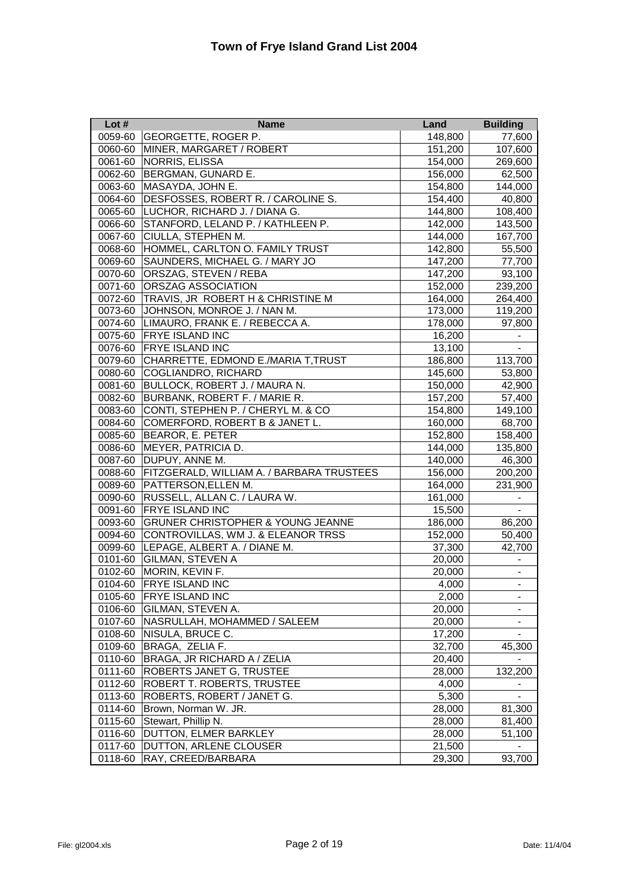| Lot $#$ | <b>Name</b>                                  | Land    | <b>Building</b>          |
|---------|----------------------------------------------|---------|--------------------------|
| 0059-60 | GEORGETTE, ROGER P.                          | 148,800 | 77,600                   |
| 0060-60 | MINER, MARGARET / ROBERT                     | 151,200 | 107,600                  |
| 0061-60 | NORRIS, ELISSA                               | 154,000 | 269,600                  |
| 0062-60 | <b>BERGMAN, GUNARD E.</b>                    | 156,000 | 62,500                   |
| 0063-60 | MASAYDA, JOHN E.                             | 154,800 | 144,000                  |
| 0064-60 | DESFOSSES, ROBERT R. / CAROLINE S.           | 154,400 | 40,800                   |
| 0065-60 | LUCHOR, RICHARD J. / DIANA G.                | 144,800 | 108,400                  |
| 0066-60 | STANFORD, LELAND P. / KATHLEEN P.            | 142,000 | 143,500                  |
| 0067-60 | CIULLA, STEPHEN M.                           | 144,000 | 167,700                  |
| 0068-60 | HOMMEL, CARLTON O. FAMILY TRUST              | 142,800 | 55,500                   |
| 0069-60 | SAUNDERS, MICHAEL G. / MARY JO               | 147,200 | 77,700                   |
| 0070-60 | ORSZAG, STEVEN / REBA                        | 147,200 | 93,100                   |
| 0071-60 | ORSZAG ASSOCIATION                           | 152,000 | 239,200                  |
| 0072-60 | TRAVIS, JR ROBERT H & CHRISTINE M            | 164,000 | 264,400                  |
| 0073-60 | JOHNSON, MONROE J. / NAN M.                  | 173,000 | 119,200                  |
| 0074-60 | LIMAURO, FRANK E. / REBECCA A.               | 178,000 | 97,800                   |
| 0075-60 | <b>FRYE ISLAND INC</b>                       | 16,200  | $\blacksquare$           |
| 0076-60 | <b>FRYE ISLAND INC</b>                       | 13,100  |                          |
| 0079-60 | CHARRETTE, EDMOND E./MARIA T, TRUST          | 186,800 | 113,700                  |
|         | 0080-60 COGLIANDRO, RICHARD                  | 145,600 | 53,800                   |
|         | 0081-60 BULLOCK, ROBERT J. / MAURA N.        | 150,000 | 42,900                   |
| 0082-60 | BURBANK, ROBERT F. / MARIE R.                | 157,200 | 57,400                   |
| 0083-60 | CONTI, STEPHEN P. / CHERYL M. & CO           | 154,800 | 149,100                  |
| 0084-60 | COMERFORD, ROBERT B & JANET L.               | 160,000 | 68,700                   |
| 0085-60 | <b>BEAROR, E. PETER</b>                      | 152,800 | 158,400                  |
| 0086-60 | <b>MEYER, PATRICIA D.</b>                    | 144,000 | 135,800                  |
| 0087-60 | DUPUY, ANNE M.                               | 140,000 | 46,300                   |
| 0088-60 | FITZGERALD, WILLIAM A. / BARBARA TRUSTEES    | 156,000 | 200,200                  |
| 0089-60 | PATTERSON, ELLEN M.                          | 164,000 | 231,900                  |
| 0090-60 | RUSSELL, ALLAN C. / LAURA W.                 | 161,000 |                          |
| 0091-60 | <b>FRYE ISLAND INC</b>                       | 15,500  |                          |
| 0093-60 | <b>GRUNER CHRISTOPHER &amp; YOUNG JEANNE</b> | 186,000 | 86,200                   |
| 0094-60 | CONTROVILLAS, WM J. & ELEANOR TRSS           | 152,000 | 50,400                   |
|         | 0099-60 LEPAGE, ALBERT A. / DIANE M.         | 37,300  | 42,700                   |
| 0101-60 | <b>GILMAN, STEVEN A</b>                      | 20,000  |                          |
| 0102-60 | MORIN, KEVIN F.                              | 20,000  |                          |
| 0104-60 | <b>FRYE ISLAND INC</b>                       | 4,000   | $\overline{\phantom{a}}$ |
| 0105-60 | <b>FRYE ISLAND INC</b>                       | 2,000   |                          |
| 0106-60 | GILMAN, STEVEN A.                            | 20,000  |                          |
| 0107-60 | NASRULLAH, MOHAMMED / SALEEM                 | 20,000  |                          |
| 0108-60 | NISULA, BRUCE C.                             | 17,200  | $\overline{\phantom{a}}$ |
| 0109-60 | BRAGA, ZELIA F.                              | 32,700  | 45,300                   |
| 0110-60 | BRAGA, JR RICHARD A / ZELIA                  | 20,400  |                          |
| 0111-60 | <b>ROBERTS JANET G, TRUSTEE</b>              | 28,000  | 132,200                  |
| 0112-60 | <b>ROBERT T. ROBERTS, TRUSTEE</b>            | 4,000   |                          |
| 0113-60 | ROBERTS, ROBERT / JANET G.                   | 5,300   |                          |
| 0114-60 | Brown, Norman W. JR.                         | 28,000  | 81,300                   |
| 0115-60 | Stewart, Phillip N.                          | 28,000  | 81,400                   |
| 0116-60 | DUTTON, ELMER BARKLEY                        | 28,000  | 51,100                   |
| 0117-60 | DUTTON, ARLENE CLOUSER                       | 21,500  | $\overline{\phantom{0}}$ |
| 0118-60 | RAY, CREED/BARBARA                           | 29,300  | 93,700                   |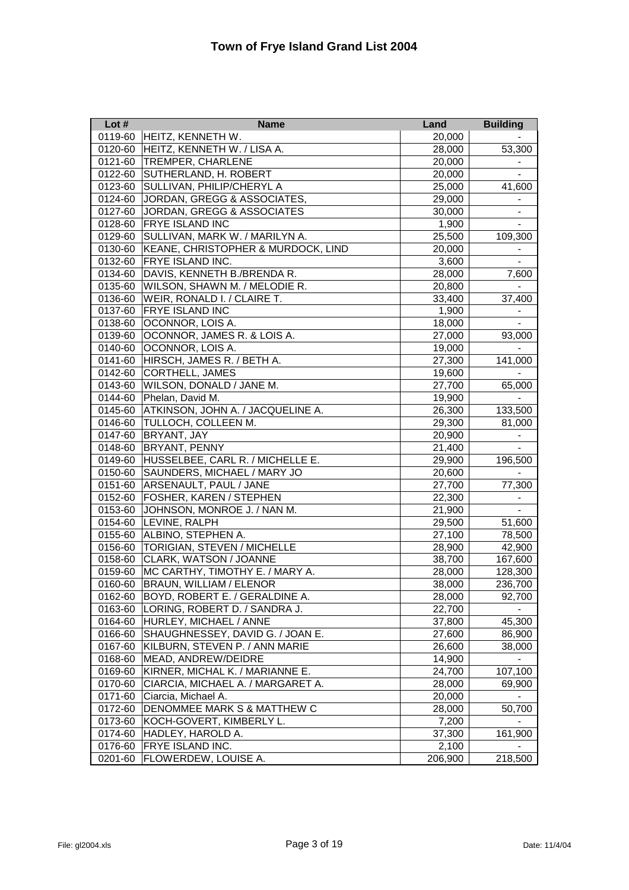| Lot#    | <b>Name</b>                        | Land    | <b>Building</b>          |
|---------|------------------------------------|---------|--------------------------|
| 0119-60 | HEITZ, KENNETH W.                  | 20,000  |                          |
| 0120-60 | HEITZ, KENNETH W. / LISA A.        | 28,000  | 53,300                   |
| 0121-60 | <b>TREMPER, CHARLENE</b>           | 20,000  |                          |
| 0122-60 | SUTHERLAND, H. ROBERT              | 20,000  |                          |
| 0123-60 | SULLIVAN, PHILIP/CHERYL A          | 25,000  | 41,600                   |
| 0124-60 | JORDAN, GREGG & ASSOCIATES,        | 29,000  |                          |
| 0127-60 | JORDAN, GREGG & ASSOCIATES         | 30,000  |                          |
| 0128-60 | <b>FRYE ISLAND INC</b>             | 1,900   |                          |
| 0129-60 | SULLIVAN, MARK W. / MARILYN A.     | 25,500  | 109,300                  |
| 0130-60 | KEANE, CHRISTOPHER & MURDOCK, LIND | 20,000  |                          |
| 0132-60 | <b>FRYE ISLAND INC.</b>            | 3,600   | $\blacksquare$           |
| 0134-60 | DAVIS, KENNETH B./BRENDA R.        | 28,000  | 7,600                    |
| 0135-60 | WILSON, SHAWN M. / MELODIE R.      | 20,800  |                          |
| 0136-60 | WEIR, RONALD I. / CLAIRE T.        | 33,400  | 37,400                   |
| 0137-60 | <b>FRYE ISLAND INC</b>             | 1,900   |                          |
| 0138-60 | <b>OCONNOR, LOIS A.</b>            | 18,000  |                          |
| 0139-60 | OCONNOR, JAMES R. & LOIS A.        | 27,000  | 93,000                   |
| 0140-60 | OCONNOR, LOIS A.                   | 19,000  |                          |
| 0141-60 | HIRSCH, JAMES R. / BETH A.         | 27,300  | 141,000                  |
| 0142-60 | CORTHELL, JAMES                    | 19,600  |                          |
| 0143-60 | WILSON, DONALD / JANE M.           | 27,700  | 65,000                   |
| 0144-60 | Phelan, David M.                   | 19,900  | $\overline{\phantom{a}}$ |
| 0145-60 | ATKINSON, JOHN A. / JACQUELINE A.  | 26,300  | 133,500                  |
| 0146-60 | <b>TULLOCH, COLLEEN M.</b>         | 29,300  | 81,000                   |
| 0147-60 | <b>BRYANT, JAY</b>                 | 20,900  |                          |
| 0148-60 | <b>BRYANT, PENNY</b>               | 21,400  |                          |
| 0149-60 | HUSSELBEE, CARL R. / MICHELLE E.   | 29,900  | 196,500                  |
| 0150-60 | SAUNDERS, MICHAEL / MARY JO        | 20,600  |                          |
| 0151-60 | ARSENAULT, PAUL / JANE             | 27,700  | 77,300                   |
| 0152-60 | <b>FOSHER, KAREN / STEPHEN</b>     | 22,300  |                          |
| 0153-60 | JOHNSON, MONROE J. / NAN M.        | 21,900  |                          |
| 0154-60 | LEVINE, RALPH                      | 29,500  | 51,600                   |
| 0155-60 | ALBINO, STEPHEN A.                 | 27,100  | 78,500                   |
| 0156-60 | <b>TORIGIAN, STEVEN / MICHELLE</b> | 28,900  | 42,900                   |
| 0158-60 | CLARK, WATSON / JOANNE             | 38,700  | 167,600                  |
| 0159-60 | MC CARTHY, TIMOTHY E. / MARY A.    | 28,000  | 128,300                  |
| 0160-60 | <b>BRAUN, WILLIAM / ELENOR</b>     | 38,000  | 236,700                  |
| 0162-60 | BOYD, ROBERT E. / GERALDINE A.     | 28,000  | 92,700                   |
| 0163-60 | LORING, ROBERT D. / SANDRA J.      | 22,700  |                          |
| 0164-60 | HURLEY, MICHAEL / ANNE             | 37,800  | 45,300                   |
| 0166-60 | SHAUGHNESSEY, DAVID G. / JOAN E.   | 27,600  | 86,900                   |
| 0167-60 | KILBURN, STEVEN P. / ANN MARIE     | 26,600  | 38,000                   |
| 0168-60 | MEAD, ANDREW/DEIDRE                | 14,900  |                          |
| 0169-60 | KIRNER, MICHAL K. / MARIANNE E.    | 24,700  | 107,100                  |
| 0170-60 | CIARCIA, MICHAEL A. / MARGARET A.  | 28,000  | 69,900                   |
| 0171-60 | Ciarcia, Michael A.                | 20,000  |                          |
| 0172-60 | DENOMMEE MARK S & MATTHEW C        | 28,000  | 50,700                   |
| 0173-60 | KOCH-GOVERT, KIMBERLY L.           | 7,200   |                          |
| 0174-60 | HADLEY, HAROLD A.                  | 37,300  | 161,900                  |
| 0176-60 | <b>FRYE ISLAND INC.</b>            | 2,100   |                          |
| 0201-60 | FLOWERDEW, LOUISE A.               | 206,900 | 218,500                  |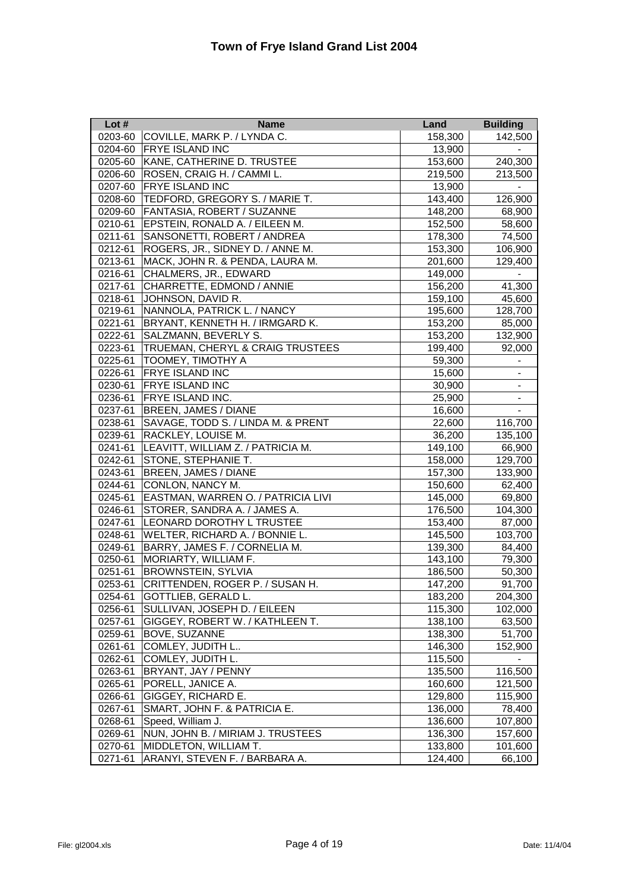| Lot $#$ | <b>Name</b>                        | Land    | <b>Building</b>              |
|---------|------------------------------------|---------|------------------------------|
| 0203-60 | COVILLE, MARK P. / LYNDA C.        | 158,300 | 142,500                      |
| 0204-60 | <b>FRYE ISLAND INC</b>             | 13,900  |                              |
| 0205-60 | KANE, CATHERINE D. TRUSTEE         | 153,600 | 240,300                      |
| 0206-60 | ROSEN, CRAIG H. / CAMMI L.         | 219,500 | 213,500                      |
| 0207-60 | <b>FRYE ISLAND INC</b>             | 13,900  |                              |
| 0208-60 | TEDFORD, GREGORY S. / MARIE T.     | 143,400 | 126,900                      |
| 0209-60 | <b>FANTASIA, ROBERT / SUZANNE</b>  | 148,200 | 68,900                       |
| 0210-61 | EPSTEIN, RONALD A. / EILEEN M.     | 152,500 | 58,600                       |
| 0211-61 | SANSONETTI, ROBERT / ANDREA        | 178,300 | 74,500                       |
| 0212-61 | ROGERS, JR., SIDNEY D. / ANNE M.   | 153,300 | 106,900                      |
| 0213-61 | MACK, JOHN R. & PENDA, LAURA M.    | 201,600 | 129,400                      |
| 0216-61 | CHALMERS, JR., EDWARD              | 149,000 |                              |
| 0217-61 | CHARRETTE, EDMOND / ANNIE          | 156,200 | 41,300                       |
| 0218-61 | JOHNSON, DAVID R.                  | 159,100 | 45,600                       |
| 0219-61 | NANNOLA, PATRICK L. / NANCY        | 195,600 | 128,700                      |
| 0221-61 | BRYANT, KENNETH H. / IRMGARD K.    | 153,200 | 85,000                       |
| 0222-61 | SALZMANN, BEVERLY S.               | 153,200 | 132,900                      |
| 0223-61 | TRUEMAN, CHERYL & CRAIG TRUSTEES   | 199,400 | 92,000                       |
| 0225-61 | <b>TOOMEY, TIMOTHY A</b>           | 59,300  | $\overline{\phantom{a}}$     |
| 0226-61 | <b>FRYE ISLAND INC</b>             | 15,600  | $\overline{\phantom{a}}$     |
| 0230-61 | <b>FRYE ISLAND INC</b>             | 30,900  | $\overline{\phantom{a}}$     |
| 0236-61 | <b>FRYE ISLAND INC.</b>            | 25,900  | $\overline{\phantom{a}}$     |
| 0237-61 | <b>BREEN, JAMES / DIANE</b>        | 16,600  | $\qquad \qquad \blacksquare$ |
| 0238-61 | SAVAGE, TODD S. / LINDA M. & PRENT | 22,600  | 116,700                      |
| 0239-61 | <b>RACKLEY, LOUISE M.</b>          | 36,200  | 135,100                      |
| 0241-61 | LEAVITT, WILLIAM Z. / PATRICIA M.  | 149,100 | 66,900                       |
| 0242-61 | STONE, STEPHANIE T.                | 158,000 | 129,700                      |
| 0243-61 | <b>BREEN, JAMES / DIANE</b>        | 157,300 | 133,900                      |
| 0244-61 | CONLON, NANCY M.                   | 150,600 | 62,400                       |
| 0245-61 | EASTMAN, WARREN O. / PATRICIA LIVI | 145,000 | 69,800                       |
| 0246-61 | STORER, SANDRA A. / JAMES A.       | 176,500 | 104,300                      |
| 0247-61 | <b>LEONARD DOROTHY L TRUSTEE</b>   | 153,400 | 87,000                       |
| 0248-61 | WELTER, RICHARD A. / BONNIE L.     | 145,500 | 103,700                      |
| 0249-61 | BARRY, JAMES F. / CORNELIA M.      | 139,300 | 84,400                       |
| 0250-61 | MORIARTY, WILLIAM F.               | 143,100 | 79,300                       |
| 0251-61 | <b>BROWNSTEIN, SYLVIA</b>          | 186,500 | 50,300                       |
| 0253-61 | CRITTENDEN, ROGER P. / SUSAN H.    | 147,200 | 91,700                       |
| 0254-61 | GOTTLIEB, GERALD L.                | 183,200 | 204,300                      |
| 0256-61 | SULLIVAN, JOSEPH D. / EILEEN       | 115,300 | 102,000                      |
| 0257-61 | GIGGEY, ROBERT W. / KATHLEEN T.    | 138,100 | 63,500                       |
| 0259-61 | BOVE, SUZANNE                      | 138,300 | 51,700                       |
| 0261-61 | COMLEY, JUDITH L                   | 146,300 | 152,900                      |
| 0262-61 | COMLEY, JUDITH L.                  | 115,500 |                              |
| 0263-61 | BRYANT, JAY / PENNY                | 135,500 | 116,500                      |
| 0265-61 | PORELL, JANICE A.                  | 160,600 | 121,500                      |
| 0266-61 | GIGGEY, RICHARD E.                 | 129,800 | 115,900                      |
| 0267-61 | SMART, JOHN F. & PATRICIA E.       | 136,000 | 78,400                       |
| 0268-61 | Speed, William J.                  | 136,600 | 107,800                      |
| 0269-61 | NUN, JOHN B. / MIRIAM J. TRUSTEES  | 136,300 | 157,600                      |
| 0270-61 | MIDDLETON, WILLIAM T.              | 133,800 | 101,600                      |
| 0271-61 | ARANYI, STEVEN F. / BARBARA A.     | 124,400 | 66,100                       |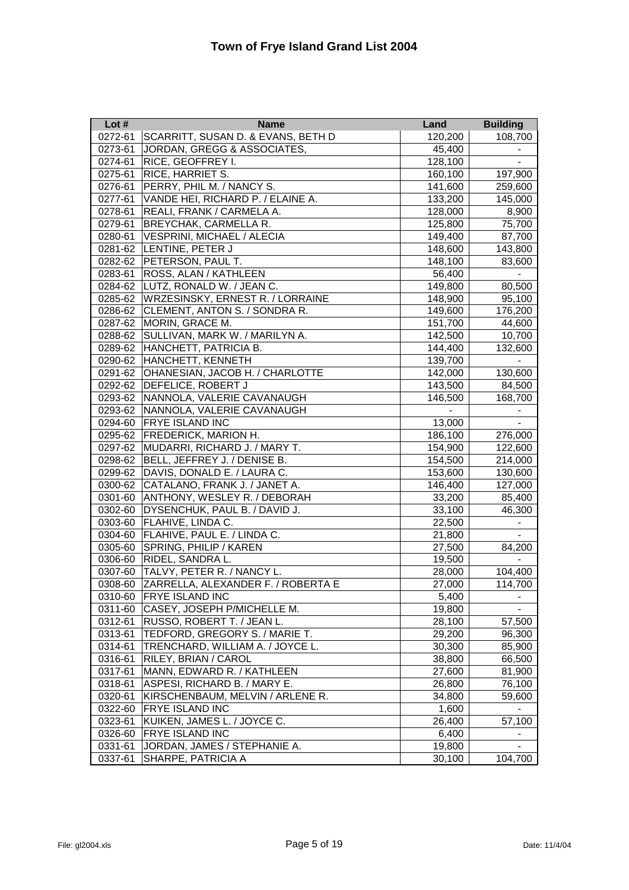| Lot#    | <b>Name</b>                             | Land    | <b>Building</b>          |
|---------|-----------------------------------------|---------|--------------------------|
| 0272-61 | SCARRITT, SUSAN D. & EVANS, BETH D      | 120,200 | 108,700                  |
| 0273-61 | JORDAN, GREGG & ASSOCIATES,             | 45,400  |                          |
| 0274-61 | RICE, GEOFFREY I.                       | 128,100 | $\blacksquare$           |
| 0275-61 | <b>RICE, HARRIET S.</b>                 | 160,100 | 197,900                  |
| 0276-61 | PERRY, PHIL M. / NANCY S.               | 141,600 | 259,600                  |
| 0277-61 | VANDE HEI, RICHARD P. / ELAINE A.       | 133,200 | 145,000                  |
| 0278-61 | REALI, FRANK / CARMELA A.               | 128,000 | 8,900                    |
| 0279-61 | <b>BREYCHAK, CARMELLA R.</b>            | 125,800 | 75,700                   |
| 0280-61 | VESPRINI, MICHAEL / ALECIA              | 149,400 | 87,700                   |
|         | 0281-62 LENTINE, PETER J                | 148,600 | 143,800                  |
|         | 0282-62 PETERSON, PAUL T.               | 148,100 | 83,600                   |
| 0283-61 | <b>ROSS, ALAN / KATHLEEN</b>            | 56,400  |                          |
|         | 0284-62 LUTZ, RONALD W. / JEAN C.       | 149,800 | 80,500                   |
| 0285-62 | <b>WRZESINSKY, ERNEST R. / LORRAINE</b> | 148,900 | 95,100                   |
| 0286-62 | CLEMENT, ANTON S. / SONDRA R.           | 149,600 | 176,200                  |
| 0287-62 | MORIN, GRACE M.                         | 151,700 | 44,600                   |
| 0288-62 | SULLIVAN, MARK W. / MARILYN A.          | 142,500 | 10,700                   |
|         | 0289-62 HANCHETT, PATRICIA B.           | 144,400 | 132,600                  |
|         | 0290-62 HANCHETT, KENNETH               | 139,700 | $\blacksquare$           |
|         | 0291-62 OHANESIAN, JACOB H. / CHARLOTTE | 142,000 | 130,600                  |
|         | 0292-62 DEFELICE, ROBERT J              | 143,500 | 84,500                   |
|         | 0293-62 NANNOLA, VALERIE CAVANAUGH      | 146,500 | 168,700                  |
|         | 0293-62 NANNOLA, VALERIE CAVANAUGH      |         |                          |
|         | 0294-60 FRYE ISLAND INC                 | 13,000  |                          |
|         | 0295-62 FREDERICK, MARION H.            | 186,100 | 276,000                  |
| 0297-62 | MUDARRI, RICHARD J. / MARY T.           | 154,900 | 122,600                  |
|         | 0298-62 BELL, JEFFREY J. / DENISE B.    | 154,500 | 214,000                  |
|         | 0299-62 DAVIS, DONALD E. / LAURA C.     | 153,600 | 130,600                  |
|         | 0300-62 CATALANO, FRANK J. / JANET A.   | 146,400 | 127,000                  |
| 0301-60 | ANTHONY, WESLEY R. / DEBORAH            | 33,200  | 85,400                   |
| 0302-60 | DYSENCHUK, PAUL B. / DAVID J.           | 33,100  | 46,300                   |
| 0303-60 | FLAHIVE, LINDA C.                       | 22,500  | $\blacksquare$           |
| 0304-60 | FLAHIVE, PAUL E. / LINDA C.             | 21,800  | $\blacksquare$           |
| 0305-60 | <b>SPRING, PHILIP / KAREN</b>           | 27,500  | 84,200                   |
| 0306-60 | RIDEL, SANDRA L.                        | 19,500  | $\overline{\phantom{a}}$ |
|         | 0307-60 TALVY, PETER R. / NANCY L.      | 28,000  | 104,400                  |
| 0308-60 | ZARRELLA, ALEXANDER F. / ROBERTA E      | 27,000  | 114,700                  |
| 0310-60 | <b>FRYE ISLAND INC</b>                  | 5,400   | -                        |
| 0311-60 | CASEY, JOSEPH P/MICHELLE M.             | 19,800  |                          |
| 0312-61 | RUSSO, ROBERT T. / JEAN L.              | 28,100  | 57,500                   |
| 0313-61 | TEDFORD, GREGORY S. / MARIE T.          | 29,200  | 96,300                   |
| 0314-61 | TRENCHARD, WILLIAM A. / JOYCE L.        | 30,300  | 85,900                   |
| 0316-61 | RILEY, BRIAN / CAROL                    | 38,800  | 66,500                   |
| 0317-61 | MANN, EDWARD R. / KATHLEEN              | 27,600  | 81,900                   |
| 0318-61 | ASPESI, RICHARD B. / MARY E.            | 26,800  | 76,100                   |
| 0320-61 | KIRSCHENBAUM, MELVIN / ARLENE R.        | 34,800  | 59,600                   |
| 0322-60 | <b>FRYE ISLAND INC</b>                  | 1,600   |                          |
| 0323-61 | KUIKEN, JAMES L. / JOYCE C.             | 26,400  | 57,100                   |
| 0326-60 | <b>FRYE ISLAND INC</b>                  | 6,400   |                          |
| 0331-61 | JORDAN, JAMES / STEPHANIE A.            | 19,800  |                          |
| 0337-61 | SHARPE, PATRICIA A                      | 30,100  | 104,700                  |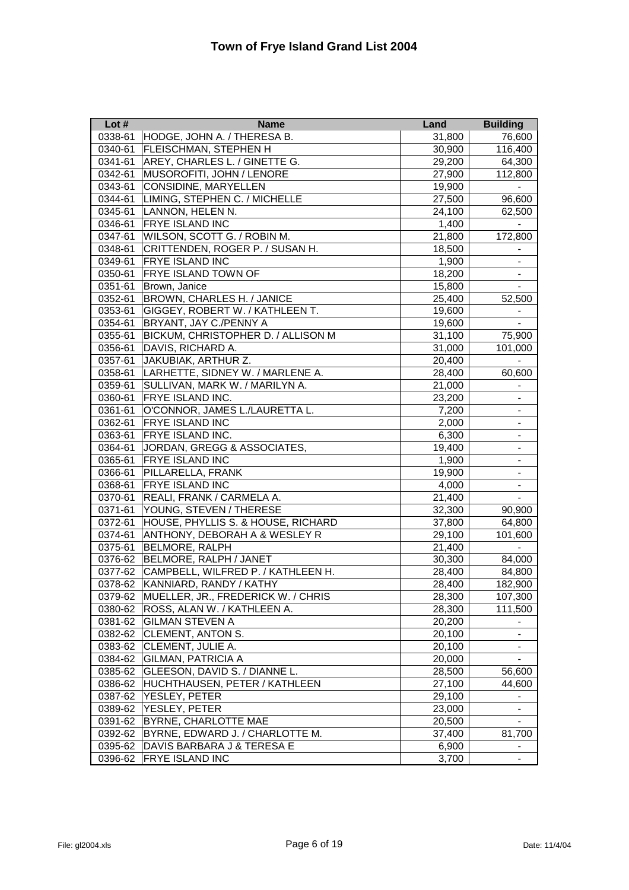| Lot $#$ | <b>Name</b>                                | Land   | <b>Building</b>              |
|---------|--------------------------------------------|--------|------------------------------|
| 0338-61 | HODGE, JOHN A. / THERESA B.                | 31,800 | 76,600                       |
| 0340-61 | <b>FLEISCHMAN, STEPHEN H</b>               | 30,900 | 116,400                      |
| 0341-61 | AREY, CHARLES L. / GINETTE G.              | 29,200 | 64,300                       |
| 0342-61 | MUSOROFITI, JOHN / LENORE                  | 27,900 | 112,800                      |
| 0343-61 | <b>CONSIDINE, MARYELLEN</b>                | 19,900 |                              |
| 0344-61 | LIMING, STEPHEN C. / MICHELLE              | 27,500 | 96,600                       |
| 0345-61 | LANNON, HELEN N.                           | 24,100 | 62,500                       |
| 0346-61 | <b>FRYE ISLAND INC</b>                     | 1,400  |                              |
| 0347-61 | WILSON, SCOTT G. / ROBIN M.                | 21,800 | 172,800                      |
| 0348-61 | CRITTENDEN, ROGER P. / SUSAN H.            | 18,500 |                              |
| 0349-61 | <b>FRYE ISLAND INC</b>                     | 1,900  |                              |
| 0350-61 | <b>FRYE ISLAND TOWN OF</b>                 | 18,200 |                              |
| 0351-61 | Brown, Janice                              | 15,800 |                              |
| 0352-61 | BROWN, CHARLES H. / JANICE                 | 25,400 | 52,500                       |
| 0353-61 | GIGGEY, ROBERT W. / KATHLEEN T.            | 19,600 |                              |
| 0354-61 | BRYANT, JAY C./PENNY A                     | 19,600 | $\blacksquare$               |
| 0355-61 | BICKUM, CHRISTOPHER D. / ALLISON M         | 31,100 | 75,900                       |
| 0356-61 | DAVIS, RICHARD A.                          | 31,000 | 101,000                      |
| 0357-61 | JAKUBIAK, ARTHUR Z.                        | 20,400 |                              |
| 0358-61 | LARHETTE, SIDNEY W. / MARLENE A.           | 28,400 | 60,600                       |
| 0359-61 | SULLIVAN, MARK W. / MARILYN A.             | 21,000 | $\overline{\phantom{a}}$     |
| 0360-61 | <b>FRYE ISLAND INC.</b>                    | 23,200 | $\blacksquare$               |
| 0361-61 | O'CONNOR, JAMES L./LAURETTA L.             | 7,200  | $\overline{\phantom{a}}$     |
| 0362-61 | <b>FRYE ISLAND INC</b>                     | 2,000  | $\overline{\phantom{a}}$     |
| 0363-61 | FRYE ISLAND INC.                           | 6,300  | $\qquad \qquad \blacksquare$ |
| 0364-61 | JORDAN, GREGG & ASSOCIATES,                | 19,400 | $\blacksquare$               |
| 0365-61 | <b>FRYE ISLAND INC</b>                     | 1,900  | $\qquad \qquad \blacksquare$ |
| 0366-61 | PILLARELLA, FRANK                          | 19,900 | $\overline{\phantom{a}}$     |
| 0368-61 | <b>FRYE ISLAND INC</b>                     | 4,000  | $\blacksquare$               |
| 0370-61 | REALI, FRANK / CARMELA A.                  | 21,400 | $\blacksquare$               |
| 0371-61 | YOUNG, STEVEN / THERESE                    | 32,300 | 90,900                       |
| 0372-61 | HOUSE, PHYLLIS S. & HOUSE, RICHARD         | 37,800 | 64,800                       |
| 0374-61 | ANTHONY, DEBORAH A & WESLEY R              | 29,100 | 101,600                      |
| 0375-61 | <b>BELMORE, RALPH</b>                      | 21,400 | $\overline{\phantom{a}}$     |
|         | 0376-62 BELMORE, RALPH / JANET             | 30,300 | 84,000                       |
|         | 0377-62 CAMPBELL, WILFRED P. / KATHLEEN H. | 28,400 | 84,800                       |
| 0378-62 | KANNIARD, RANDY / KATHY                    | 28,400 | 182,900                      |
| 0379-62 | MUELLER, JR., FREDERICK W. / CHRIS         | 28,300 | 107,300                      |
| 0380-62 | ROSS, ALAN W. / KATHLEEN A.                | 28,300 | 111,500                      |
| 0381-62 | <b>GILMAN STEVEN A</b>                     | 20,200 |                              |
| 0382-62 | <b>CLEMENT, ANTON S.</b>                   | 20,100 |                              |
| 0383-62 | CLEMENT, JULIE A.                          | 20,100 | $\blacksquare$               |
| 0384-62 | <b>GILMAN, PATRICIA A</b>                  | 20,000 | $\blacksquare$               |
| 0385-62 | GLEESON, DAVID S. / DIANNE L.              | 28,500 | 56,600                       |
| 0386-62 | HUCHTHAUSEN, PETER / KATHLEEN              | 27,100 | 44,600                       |
| 0387-62 | YESLEY, PETER                              | 29,100 |                              |
| 0389-62 | YESLEY, PETER                              | 23,000 |                              |
| 0391-62 | <b>BYRNE, CHARLOTTE MAE</b>                | 20,500 |                              |
| 0392-62 | BYRNE, EDWARD J. / CHARLOTTE M.            | 37,400 | 81,700                       |
| 0395-62 | DAVIS BARBARA J & TERESA E                 | 6,900  |                              |
| 0396-62 | <b>FRYE ISLAND INC</b>                     | 3,700  | $\qquad \qquad \blacksquare$ |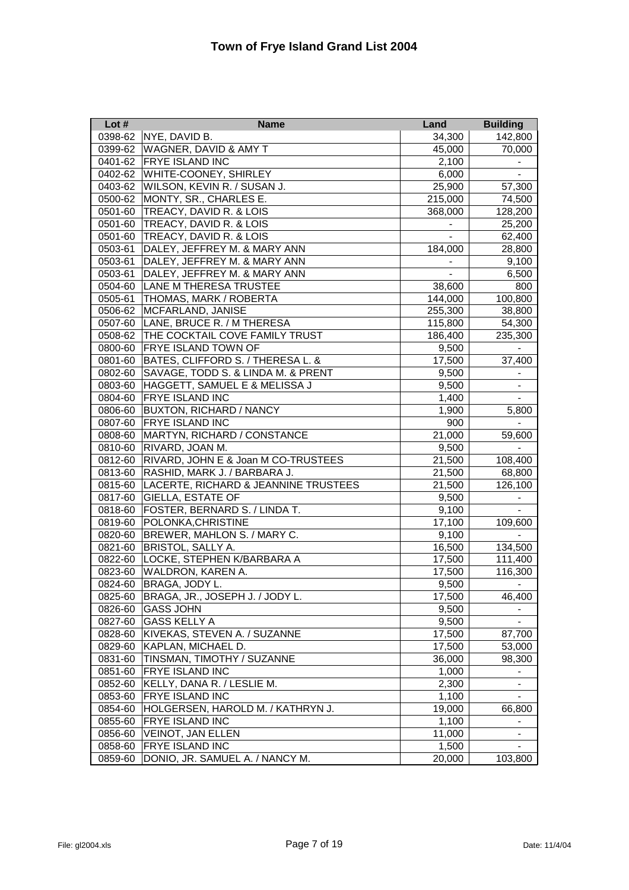| Lot $#$ | <b>Name</b>                               | Land           | <b>Building</b>          |
|---------|-------------------------------------------|----------------|--------------------------|
| 0398-62 | NYE, DAVID B.                             | 34,300         | 142,800                  |
| 0399-62 | <b>WAGNER, DAVID &amp; AMY T</b>          | 45,000         | 70,000                   |
| 0401-62 | <b>FRYE ISLAND INC</b>                    | 2,100          |                          |
|         | 0402-62 WHITE-COONEY, SHIRLEY             | 6,000          |                          |
|         | 0403-62 WILSON, KEVIN R. / SUSAN J.       | 25,900         | 57,300                   |
|         | 0500-62 MONTY, SR., CHARLES E.            | 215,000        | 74,500                   |
| 0501-60 | <b>TREACY, DAVID R. &amp; LOIS</b>        | 368,000        | 128,200                  |
| 0501-60 | TREACY, DAVID R. & LOIS                   |                | 25,200                   |
| 0501-60 | TREACY, DAVID R. & LOIS                   |                | 62,400                   |
| 0503-61 | DALEY, JEFFREY M. & MARY ANN              | 184,000        | 28,800                   |
| 0503-61 | DALEY, JEFFREY M. & MARY ANN              |                | 9,100                    |
| 0503-61 | DALEY, JEFFREY M. & MARY ANN              | $\blacksquare$ | 6,500                    |
| 0504-60 | <b>LANE M THERESA TRUSTEE</b>             | 38,600         | 800                      |
| 0505-61 | THOMAS, MARK / ROBERTA                    | 144,000        | 100,800                  |
| 0506-62 | MCFARLAND, JANISE                         | 255,300        | 38,800                   |
| 0507-60 | LANE, BRUCE R. / M THERESA                | 115,800        | 54,300                   |
|         | 0508-62 THE COCKTAIL COVE FAMILY TRUST    | 186,400        | 235,300                  |
| 0800-60 | <b>FRYE ISLAND TOWN OF</b>                | 9,500          |                          |
|         | 0801-60 BATES, CLIFFORD S. / THERESA L. & | 17,500         | 37,400                   |
| 0802-60 | SAVAGE, TODD S. & LINDA M. & PRENT        | 9,500          | $\overline{\phantom{a}}$ |
| 0803-60 | HAGGETT, SAMUEL E & MELISSA J             | 9,500          | $\overline{\phantom{a}}$ |
| 0804-60 | <b>FRYE ISLAND INC</b>                    | 1,400          | $\overline{\phantom{a}}$ |
| 0806-60 | <b>BUXTON, RICHARD / NANCY</b>            | 1,900          | 5,800                    |
| 0807-60 | <b>FRYE ISLAND INC</b>                    | 900            |                          |
| 0808-60 | MARTYN, RICHARD / CONSTANCE               | 21,000         | 59,600                   |
| 0810-60 | RIVARD, JOAN M.                           | 9,500          | $\blacksquare$           |
| 0812-60 | RIVARD, JOHN E & Joan M CO-TRUSTEES       | 21,500         | 108,400                  |
| 0813-60 | RASHID, MARK J. / BARBARA J.              | 21,500         | 68,800                   |
| 0815-60 | LACERTE, RICHARD & JEANNINE TRUSTEES      | 21,500         | 126,100                  |
| 0817-60 | <b>GIELLA, ESTATE OF</b>                  | 9,500          |                          |
| 0818-60 | <b>FOSTER, BERNARD S. / LINDA T.</b>      | 9,100          |                          |
| 0819-60 | POLONKA, CHRISTINE                        | 17,100         | 109,600                  |
| 0820-60 | BREWER, MAHLON S. / MARY C.               | 9,100          |                          |
| 0821-60 | <b>BRISTOL, SALLY A.</b>                  | 16,500         | 134,500                  |
| 0822-60 | LOCKE, STEPHEN K/BARBARA A                | 17,500         | 111,400                  |
| 0823-60 | <b>WALDRON, KAREN A.</b>                  | 17,500         | 116,300                  |
| 0824-60 | BRAGA, JODY L.                            | 9,500          | $\overline{\phantom{a}}$ |
| 0825-60 | BRAGA, JR., JOSEPH J. / JODY L.           | 17,500         | 46,400                   |
| 0826-60 | <b>GASS JOHN</b>                          | 9,500          |                          |
| 0827-60 | <b>GASS KELLY A</b>                       | 9,500          | $\blacksquare$           |
| 0828-60 | KIVEKAS, STEVEN A. / SUZANNE              | 17,500         | 87,700                   |
| 0829-60 | <b>KAPLAN, MICHAEL D.</b>                 | 17,500         | 53,000                   |
| 0831-60 | TINSMAN, TIMOTHY / SUZANNE                | 36,000         | 98,300                   |
| 0851-60 | <b>FRYE ISLAND INC</b>                    | 1,000          |                          |
| 0852-60 | KELLY, DANA R. / LESLIE M.                | 2,300          |                          |
| 0853-60 | <b>FRYE ISLAND INC</b>                    | 1,100          | $\blacksquare$           |
| 0854-60 | HOLGERSEN, HAROLD M. / KATHRYN J.         | 19,000         | 66,800                   |
| 0855-60 | FRYE ISLAND INC                           | 1,100          | $\blacksquare$           |
| 0856-60 | <b>VEINOT, JAN ELLEN</b>                  | 11,000         |                          |
| 0858-60 | <b>FRYE ISLAND INC</b>                    | 1,500          |                          |
| 0859-60 | DONIO, JR. SAMUEL A. / NANCY M.           | 20,000         | 103,800                  |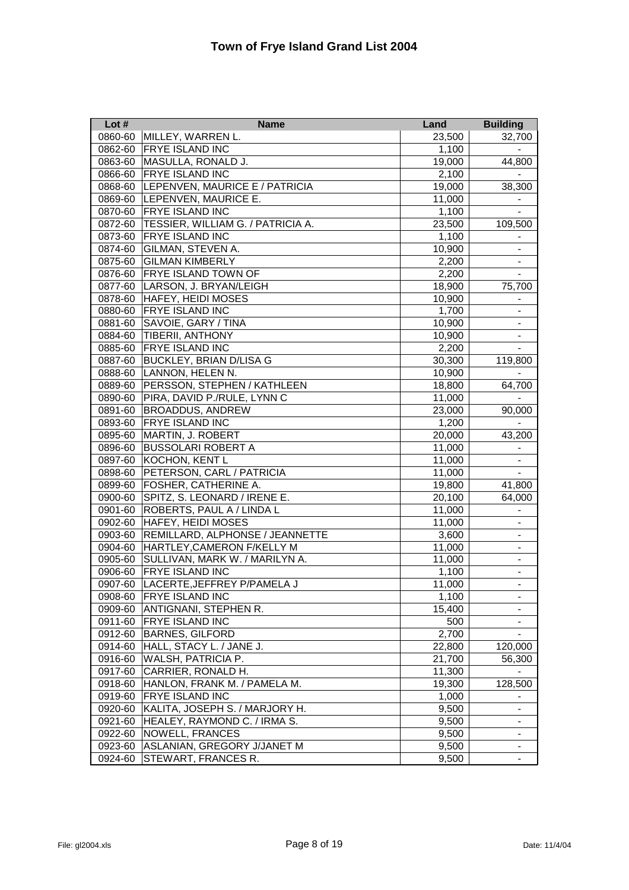| Lot $#$ | <b>Name</b>                            | Land   | <b>Building</b>              |
|---------|----------------------------------------|--------|------------------------------|
| 0860-60 | MILLEY, WARREN L.                      | 23,500 | 32,700                       |
| 0862-60 | <b>FRYE ISLAND INC</b>                 | 1,100  | $\overline{\phantom{a}}$     |
| 0863-60 | MASULLA, RONALD J.                     | 19,000 | 44,800                       |
| 0866-60 | <b>FRYE ISLAND INC</b>                 | 2,100  |                              |
|         | 0868-60 LEPENVEN, MAURICE E / PATRICIA | 19,000 | 38,300                       |
|         | 0869-60 LEPENVEN, MAURICE E.           | 11,000 |                              |
|         | 0870-60 FRYE ISLAND INC                | 1,100  |                              |
| 0872-60 | TESSIER, WILLIAM G. / PATRICIA A.      | 23,500 | 109,500                      |
| 0873-60 | <b>FRYE ISLAND INC</b>                 | 1,100  |                              |
| 0874-60 | <b>GILMAN, STEVEN A.</b>               | 10,900 |                              |
| 0875-60 | <b>GILMAN KIMBERLY</b>                 | 2,200  |                              |
| 0876-60 | <b>FRYE ISLAND TOWN OF</b>             | 2,200  | $\blacksquare$               |
| 0877-60 | LARSON, J. BRYAN/LEIGH                 | 18,900 | 75,700                       |
| 0878-60 | <b>HAFEY, HEIDI MOSES</b>              | 10,900 | $\overline{\phantom{a}}$     |
| 0880-60 | <b>FRYE ISLAND INC</b>                 | 1,700  | $\blacksquare$               |
| 0881-60 | SAVOIE, GARY / TINA                    | 10,900 | $\overline{\phantom{a}}$     |
| 0884-60 | <b>TIBERII, ANTHONY</b>                | 10,900 | $\overline{\phantom{a}}$     |
| 0885-60 | <b>FRYE ISLAND INC</b>                 | 2,200  | $\overline{\phantom{a}}$     |
| 0887-60 | <b>BUCKLEY, BRIAN D/LISA G</b>         | 30,300 | 119,800                      |
| 0888-60 | LANNON, HELEN N.                       | 10,900 |                              |
| 0889-60 | PERSSON, STEPHEN / KATHLEEN            | 18,800 | 64,700                       |
| 0890-60 | PIRA, DAVID P./RULE, LYNN C            | 11,000 |                              |
| 0891-60 | <b>BROADDUS, ANDREW</b>                | 23,000 | 90,000                       |
| 0893-60 | <b>FRYE ISLAND INC</b>                 | 1,200  | $\overline{\phantom{a}}$     |
| 0895-60 | MARTIN, J. ROBERT                      | 20,000 | 43,200                       |
| 0896-60 | <b>BUSSOLARI ROBERT A</b>              | 11,000 | $\overline{\phantom{a}}$     |
| 0897-60 | KOCHON, KENT L                         | 11,000 | $\blacksquare$               |
| 0898-60 | PETERSON, CARL / PATRICIA              | 11,000 | $\blacksquare$               |
| 0899-60 | <b>FOSHER, CATHERINE A.</b>            | 19,800 | 41,800                       |
| 0900-60 | SPITZ, S. LEONARD / IRENE E.           | 20,100 | 64,000                       |
| 0901-60 | ROBERTS, PAUL A / LINDA L              | 11,000 |                              |
| 0902-60 | <b>HAFEY, HEIDI MOSES</b>              | 11,000 |                              |
| 0903-60 | REMILLARD, ALPHONSE / JEANNETTE        | 3,600  |                              |
| 0904-60 | HARTLEY, CAMERON F/KELLY M             | 11,000 |                              |
| 0905-60 | SULLIVAN, MARK W. / MARILYN A.         | 11,000 |                              |
| 0906-60 | <b>FRYE ISLAND INC</b>                 | 1,100  | $\qquad \qquad \blacksquare$ |
| 0907-60 | LACERTE, JEFFREY P/PAMELA J            | 11,000 | $\blacksquare$               |
| 0908-60 | <b>FRYE ISLAND INC</b>                 | 1,100  |                              |
| 0909-60 | ANTIGNANI, STEPHEN R.                  | 15,400 |                              |
| 0911-60 | <b>FRYE ISLAND INC</b>                 | 500    | $\blacksquare$               |
| 0912-60 | <b>BARNES, GILFORD</b>                 | 2,700  |                              |
| 0914-60 | HALL, STACY L. / JANE J.               | 22,800 | 120,000                      |
| 0916-60 | <b>WALSH, PATRICIA P.</b>              | 21,700 | 56,300                       |
| 0917-60 | CARRIER, RONALD H.                     | 11,300 |                              |
| 0918-60 | HANLON, FRANK M. / PAMELA M.           | 19,300 | 128,500                      |
| 0919-60 | <b>FRYE ISLAND INC</b>                 | 1,000  |                              |
| 0920-60 | KALITA, JOSEPH S. / MARJORY H.         | 9,500  |                              |
| 0921-60 | HEALEY, RAYMOND C. / IRMA S.           | 9,500  | $\blacksquare$               |
| 0922-60 | NOWELL, FRANCES                        | 9,500  | $\qquad \qquad \blacksquare$ |
| 0923-60 | ASLANIAN, GREGORY J/JANET M            | 9,500  |                              |
| 0924-60 | STEWART, FRANCES R.                    | 9,500  | $\blacksquare$               |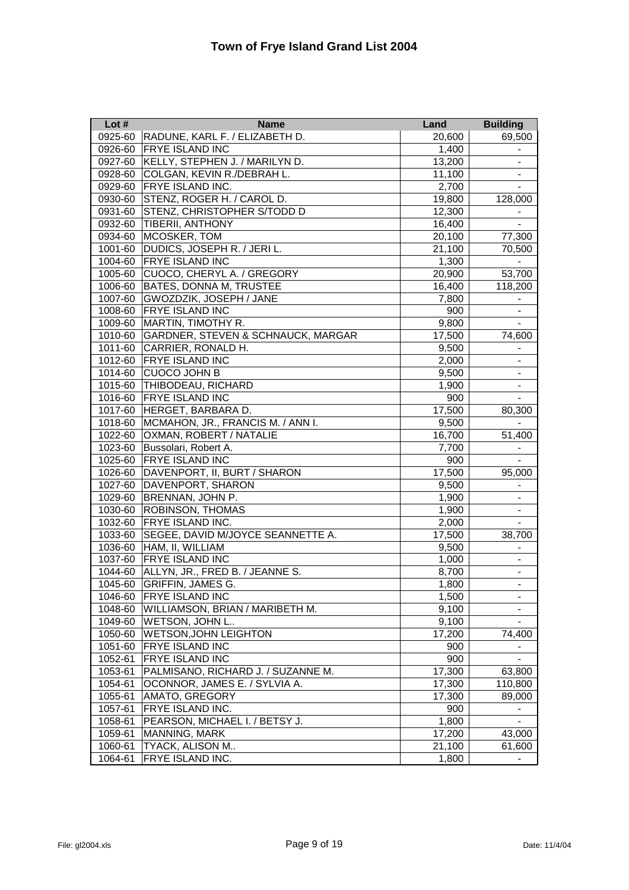| Lot $#$ | <b>Name</b>                                   | Land   | <b>Building</b>              |
|---------|-----------------------------------------------|--------|------------------------------|
| 0925-60 | RADUNE, KARL F. / ELIZABETH D.                | 20,600 | 69,500                       |
| 0926-60 | <b>FRYE ISLAND INC</b>                        | 1,400  |                              |
| 0927-60 | KELLY, STEPHEN J. / MARILYN D.                | 13,200 | $\overline{\phantom{a}}$     |
| 0928-60 | COLGAN, KEVIN R./DEBRAH L.                    | 11,100 | $\blacksquare$               |
| 0929-60 | <b>FRYE ISLAND INC.</b>                       | 2,700  | $\overline{\phantom{a}}$     |
| 0930-60 | STENZ, ROGER H. / CAROL D.                    | 19,800 | 128,000                      |
| 0931-60 | STENZ, CHRISTOPHER S/TODD D                   | 12,300 |                              |
| 0932-60 | <b>TIBERII, ANTHONY</b>                       | 16,400 |                              |
| 0934-60 | MCOSKER, TOM                                  | 20,100 | 77,300                       |
| 1001-60 | DUDICS, JOSEPH R. / JERI L.                   | 21,100 | 70,500                       |
| 1004-60 | <b>FRYE ISLAND INC</b>                        | 1,300  |                              |
| 1005-60 | CUOCO, CHERYL A. / GREGORY                    | 20,900 | 53,700                       |
| 1006-60 | <b>BATES, DONNA M, TRUSTEE</b>                | 16,400 | 118,200                      |
| 1007-60 | GWOZDZIK, JOSEPH / JANE                       | 7,800  |                              |
| 1008-60 | <b>FRYE ISLAND INC</b>                        | 900    |                              |
| 1009-60 | MARTIN, TIMOTHY R.                            | 9,800  | $\blacksquare$               |
| 1010-60 | <b>GARDNER, STEVEN &amp; SCHNAUCK, MARGAR</b> | 17,500 | 74,600                       |
| 1011-60 | CARRIER, RONALD H.                            | 9,500  | $\overline{\phantom{a}}$     |
| 1012-60 | <b>FRYE ISLAND INC</b>                        | 2,000  | $\blacksquare$               |
| 1014-60 | <b>CUOCO JOHN B</b>                           | 9,500  | $\overline{\phantom{a}}$     |
| 1015-60 | <b>THIBODEAU, RICHARD</b>                     | 1,900  | $\overline{\phantom{a}}$     |
| 1016-60 | <b>FRYE ISLAND INC</b>                        | 900    |                              |
| 1017-60 | HERGET, BARBARA D.                            | 17,500 | 80,300                       |
| 1018-60 | MCMAHON, JR., FRANCIS M. / ANN I.             | 9,500  |                              |
| 1022-60 | <b>OXMAN, ROBERT / NATALIE</b>                | 16,700 | 51,400                       |
| 1023-60 | Bussolari, Robert A.                          | 7,700  | $\frac{1}{2}$                |
| 1025-60 | <b>FRYE ISLAND INC</b>                        | 900    |                              |
| 1026-60 | DAVENPORT, II, BURT / SHARON                  | 17,500 | 95,000                       |
| 1027-60 | DAVENPORT, SHARON                             | 9,500  | $\overline{\phantom{a}}$     |
| 1029-60 | BRENNAN, JOHN P.                              | 1,900  | $\blacksquare$               |
| 1030-60 | <b>ROBINSON, THOMAS</b>                       | 1,900  | $\blacksquare$               |
| 1032-60 | <b>FRYE ISLAND INC.</b>                       | 2,000  |                              |
| 1033-60 | SEGEE, DAVID M/JOYCE SEANNETTE A.             | 17,500 | 38,700                       |
| 1036-60 | HAM, II, WILLIAM                              | 9,500  |                              |
| 1037-60 | <b>FRYE ISLAND INC</b>                        | 1,000  |                              |
| 1044-60 | ALLYN, JR., FRED B. / JEANNE S.               | 8,700  |                              |
| 1045-60 | <b>GRIFFIN, JAMES G.</b>                      | 1,800  | $\blacksquare$               |
| 1046-60 | FRYE ISLAND INC                               | 1,500  |                              |
| 1048-60 | WILLIAMSON, BRIAN / MARIBETH M.               | 9,100  |                              |
| 1049-60 | WETSON, JOHN L                                | 9,100  |                              |
| 1050-60 | <b>WETSON, JOHN LEIGHTON</b>                  | 17,200 | 74,400                       |
| 1051-60 | FRYE ISLAND INC                               | 900    | $\blacksquare$               |
| 1052-61 | FRYE ISLAND INC                               | 900    |                              |
| 1053-61 | PALMISANO, RICHARD J. / SUZANNE M.            | 17,300 | 63,800                       |
| 1054-61 | OCONNOR, JAMES E. / SYLVIA A.                 | 17,300 | 110,800                      |
| 1055-61 | AMATO, GREGORY                                | 17,300 | 89,000                       |
| 1057-61 | FRYE ISLAND INC.                              | 900    |                              |
| 1058-61 | PEARSON, MICHAEL I. / BETSY J.                | 1,800  |                              |
| 1059-61 | MANNING, MARK                                 | 17,200 | 43,000                       |
| 1060-61 | TYACK, ALISON M                               | 21,100 | 61,600                       |
| 1064-61 | FRYE ISLAND INC.                              | 1,800  | $\qquad \qquad \blacksquare$ |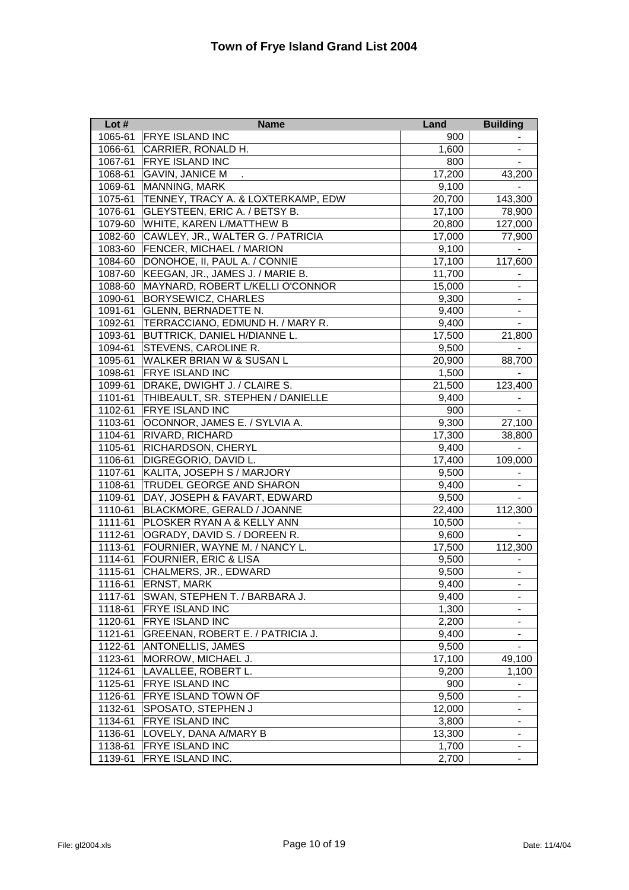| Lot $#$ | <b>Name</b>                         | Land   | <b>Building</b>          |
|---------|-------------------------------------|--------|--------------------------|
| 1065-61 | <b>FRYE ISLAND INC</b>              | 900    |                          |
| 1066-61 | CARRIER, RONALD H.                  | 1,600  | $\overline{\phantom{0}}$ |
| 1067-61 | <b>FRYE ISLAND INC</b>              | 800    |                          |
| 1068-61 | <b>GAVIN, JANICE M</b>              | 17,200 | 43,200                   |
| 1069-61 | <b>MANNING, MARK</b>                | 9,100  |                          |
| 1075-61 | TENNEY, TRACY A. & LOXTERKAMP, EDW  | 20,700 | 143,300                  |
| 1076-61 | GLEYSTEEN, ERIC A. / BETSY B.       | 17,100 | 78,900                   |
| 1079-60 | WHITE, KAREN L/MATTHEW B            | 20,800 | 127,000                  |
| 1082-60 | CAWLEY, JR., WALTER G. / PATRICIA   | 17,000 | 77,900                   |
| 1083-60 | <b>FENCER, MICHAEL / MARION</b>     | 9,100  |                          |
| 1084-60 | DONOHOE, II, PAUL A. / CONNIE       | 17,100 | 117,600                  |
| 1087-60 | KEEGAN, JR., JAMES J. / MARIE B.    | 11,700 |                          |
| 1088-60 | MAYNARD, ROBERT L/KELLI O'CONNOR    | 15,000 | $\overline{\phantom{a}}$ |
| 1090-61 | <b>BORYSEWICZ, CHARLES</b>          | 9,300  | $\overline{\phantom{m}}$ |
| 1091-61 | <b>GLENN, BERNADETTE N.</b>         | 9,400  | $\blacksquare$           |
| 1092-61 | TERRACCIANO, EDMUND H. / MARY R.    | 9,400  | $\blacksquare$           |
| 1093-61 | <b>BUTTRICK, DANIEL H/DIANNE L.</b> | 17,500 | 21,800                   |
| 1094-61 | <b>STEVENS, CAROLINE R.</b>         | 9,500  |                          |
| 1095-61 | WALKER BRIAN W & SUSAN L            | 20,900 | 88,700                   |
| 1098-61 | <b>FRYE ISLAND INC</b>              | 1,500  |                          |
| 1099-61 | DRAKE, DWIGHT J. / CLAIRE S.        | 21,500 | 123,400                  |
| 1101-61 | THIBEAULT, SR. STEPHEN / DANIELLE   | 9,400  |                          |
| 1102-61 | <b>FRYE ISLAND INC</b>              | 900    | $\blacksquare$           |
| 1103-61 | OCONNOR, JAMES E. / SYLVIA A.       | 9,300  | 27,100                   |
| 1104-61 | RIVARD, RICHARD                     | 17,300 | 38,800                   |
| 1105-61 | RICHARDSON, CHERYL                  | 9,400  | $\overline{\phantom{a}}$ |
| 1106-61 | DIGREGORIO, DAVID L.                | 17,400 | 109,000                  |
| 1107-61 | KALITA, JOSEPH S / MARJORY          | 9,500  | $\blacksquare$           |
| 1108-61 | TRUDEL GEORGE AND SHARON            | 9,400  |                          |
| 1109-61 | DAY, JOSEPH & FAVART, EDWARD        | 9,500  |                          |
| 1110-61 | BLACKMORE, GERALD / JOANNE          | 22,400 | 112,300                  |
| 1111-61 | PLOSKER RYAN A & KELLY ANN          | 10,500 |                          |
| 1112-61 | OGRADY, DAVID S. / DOREEN R.        | 9,600  |                          |
| 1113-61 | FOURNIER, WAYNE M. / NANCY L.       | 17,500 | 112,300                  |
| 1114-61 | <b>FOURNIER, ERIC &amp; LISA</b>    | 9,500  |                          |
| 1115-61 | CHALMERS, JR., EDWARD               | 9,500  |                          |
| 1116-61 | <b>ERNST, MARK</b>                  | 9,400  | $\overline{\phantom{a}}$ |
| 1117-61 | SWAN, STEPHEN T. / BARBARA J.       | 9,400  | $\overline{\phantom{0}}$ |
| 1118-61 | FRYE ISLAND INC                     | 1,300  | -                        |
| 1120-61 | FRYE ISLAND INC                     | 2,200  | $\blacksquare$           |
| 1121-61 | GREENAN, ROBERT E. / PATRICIA J.    | 9,400  | $\blacksquare$           |
| 1122-61 | ANTONELLIS, JAMES                   | 9,500  | $\overline{\phantom{a}}$ |
| 1123-61 | MORROW, MICHAEL J.                  | 17,100 | 49,100                   |
| 1124-61 | LAVALLEE, ROBERT L.                 | 9,200  | 1,100                    |
| 1125-61 | <b>FRYE ISLAND INC</b>              | 900    |                          |
| 1126-61 | FRYE ISLAND TOWN OF                 | 9,500  | -                        |
| 1132-61 | SPOSATO, STEPHEN J                  | 12,000 | -                        |
| 1134-61 | FRYE ISLAND INC                     | 3,800  | -                        |
| 1136-61 | LOVELY, DANA A/MARY B               | 13,300 | $\blacksquare$           |
| 1138-61 | FRYE ISLAND INC                     | 1,700  |                          |
| 1139-61 | FRYE ISLAND INC.                    | 2,700  | $\overline{\phantom{a}}$ |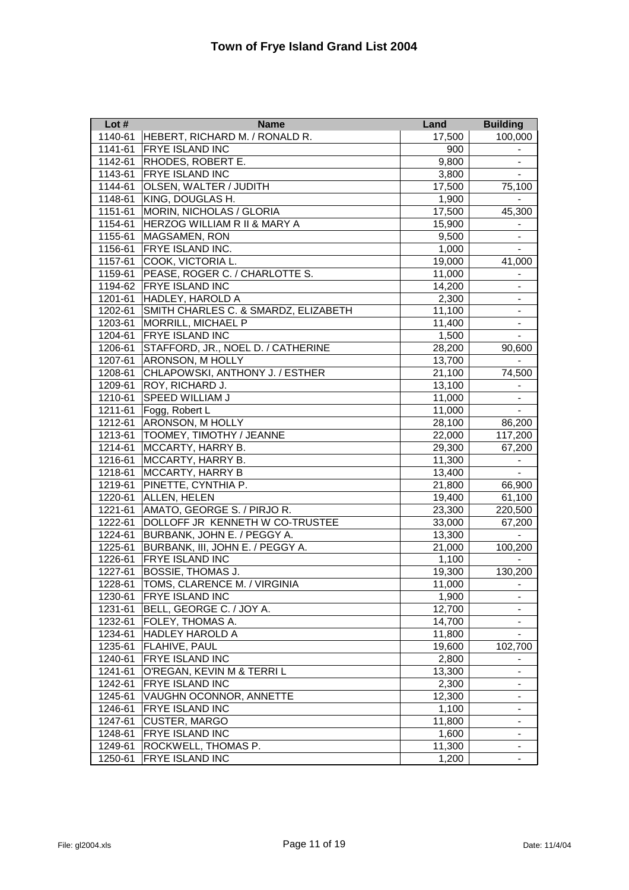| Lot $#$ | <b>Name</b>                             | Land   | <b>Building</b>          |
|---------|-----------------------------------------|--------|--------------------------|
| 1140-61 | HEBERT, RICHARD M. / RONALD R.          | 17,500 | 100,000                  |
| 1141-61 | <b>FRYE ISLAND INC</b>                  | 900    | $\overline{\phantom{a}}$ |
| 1142-61 | RHODES, ROBERT E.                       | 9,800  | $\blacksquare$           |
| 1143-61 | <b>FRYE ISLAND INC</b>                  | 3,800  |                          |
| 1144-61 | OLSEN, WALTER / JUDITH                  | 17,500 | 75,100                   |
| 1148-61 | KING, DOUGLAS H.                        | 1,900  |                          |
| 1151-61 | MORIN, NICHOLAS / GLORIA                | 17,500 | 45,300                   |
| 1154-61 | <b>HERZOG WILLIAM R II &amp; MARY A</b> | 15,900 |                          |
| 1155-61 | <b>MAGSAMEN, RON</b>                    | 9,500  |                          |
| 1156-61 | FRYE ISLAND INC.                        | 1,000  |                          |
| 1157-61 | COOK, VICTORIA L.                       | 19,000 | 41,000                   |
| 1159-61 | PEASE, ROGER C. / CHARLOTTE S.          | 11,000 |                          |
| 1194-62 | <b>FRYE ISLAND INC</b>                  | 14,200 |                          |
| 1201-61 | <b>HADLEY, HAROLD A</b>                 | 2,300  | $\overline{\phantom{a}}$ |
| 1202-61 | SMITH CHARLES C. & SMARDZ, ELIZABETH    | 11,100 | $\overline{\phantom{a}}$ |
| 1203-61 | <b>MORRILL, MICHAEL P</b>               | 11,400 | $\blacksquare$           |
| 1204-61 | <b>FRYE ISLAND INC</b>                  | 1,500  | $\blacksquare$           |
| 1206-61 | STAFFORD, JR., NOEL D. / CATHERINE      | 28,200 | 90,600                   |
| 1207-61 | <b>ARONSON, M HOLLY</b>                 | 13,700 |                          |
| 1208-61 | CHLAPOWSKI, ANTHONY J. / ESTHER         | 21,100 | 74,500                   |
| 1209-61 | <b>ROY, RICHARD J.</b>                  | 13,100 |                          |
| 1210-61 | SPEED WILLIAM J                         | 11,000 | ۰                        |
| 1211-61 | Fogg, Robert L                          | 11,000 |                          |
| 1212-61 | <b>ARONSON, M HOLLY</b>                 | 28,100 | 86,200                   |
| 1213-61 | <b>TOOMEY, TIMOTHY / JEANNE</b>         | 22,000 | 117,200                  |
| 1214-61 | MCCARTY, HARRY B.                       | 29,300 | 67,200                   |
| 1216-61 | MCCARTY, HARRY B.                       | 11,300 |                          |
| 1218-61 | <b>MCCARTY, HARRY B</b>                 | 13,400 | $\blacksquare$           |
| 1219-61 | PINETTE, CYNTHIA P.                     | 21,800 | 66,900                   |
| 1220-61 | ALLEN, HELEN                            | 19,400 | 61,100                   |
| 1221-61 | AMATO, GEORGE S. / PIRJO R.             | 23,300 | 220,500                  |
| 1222-61 | DOLLOFF JR KENNETH W CO-TRUSTEE         | 33,000 | 67,200                   |
| 1224-61 | BURBANK, JOHN E. / PEGGY A.             | 13,300 |                          |
| 1225-61 | BURBANK, III, JOHN E. / PEGGY A.        | 21,000 | 100,200                  |
| 1226-61 | <b>FRYE ISLAND INC</b>                  | 1,100  |                          |
| 1227-61 | <b>BOSSIE, THOMAS J.</b>                | 19,300 | 130,200                  |
| 1228-61 | TOMS, CLARENCE M. / VIRGINIA            | 11,000 | ۰                        |
| 1230-61 | FRYE ISLAND INC                         | 1,900  |                          |
| 1231-61 | BELL, GEORGE C. / JOY A.                | 12,700 |                          |
| 1232-61 | FOLEY, THOMAS A.                        | 14,700 | $\overline{\phantom{a}}$ |
| 1234-61 | <b>HADLEY HAROLD A</b>                  | 11,800 |                          |
| 1235-61 | FLAHIVE, PAUL                           | 19,600 | 102,700                  |
| 1240-61 | <b>FRYE ISLAND INC</b>                  | 2,800  |                          |
| 1241-61 | O'REGAN, KEVIN M & TERRI L              | 13,300 | $\overline{\phantom{a}}$ |
| 1242-61 | <b>FRYE ISLAND INC</b>                  | 2,300  | $\overline{\phantom{a}}$ |
| 1245-61 | VAUGHN OCONNOR, ANNETTE                 | 12,300 |                          |
| 1246-61 | FRYE ISLAND INC                         | 1,100  | $\blacksquare$           |
| 1247-61 | <b>CUSTER, MARGO</b>                    | 11,800 | -                        |
| 1248-61 | <b>FRYE ISLAND INC</b>                  | 1,600  | Ξ.                       |
| 1249-61 | ROCKWELL, THOMAS P.                     | 11,300 |                          |
| 1250-61 | <b>FRYE ISLAND INC</b>                  | 1,200  | $\blacksquare$           |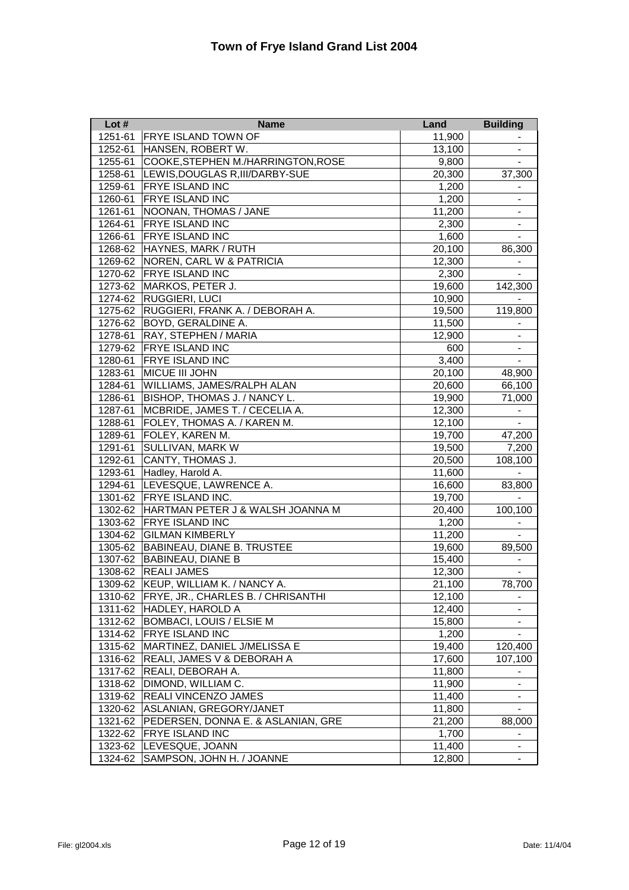| Lot $#$ | <b>Name</b>                        | Land   | <b>Building</b>              |
|---------|------------------------------------|--------|------------------------------|
| 1251-61 | <b>FRYE ISLAND TOWN OF</b>         | 11,900 |                              |
| 1252-61 | HANSEN, ROBERT W.                  | 13,100 |                              |
| 1255-61 | COOKE, STEPHEN M./HARRINGTON, ROSE | 9,800  | $\overline{\phantom{a}}$     |
| 1258-61 | LEWIS, DOUGLAS R, III/DARBY-SUE    | 20,300 | 37,300                       |
| 1259-61 | <b>FRYE ISLAND INC</b>             | 1,200  |                              |
| 1260-61 | <b>FRYE ISLAND INC</b>             | 1,200  |                              |
| 1261-61 | NOONAN, THOMAS / JANE              | 11,200 |                              |
| 1264-61 | <b>FRYE ISLAND INC</b>             | 2,300  |                              |
| 1266-61 | <b>FRYE ISLAND INC</b>             | 1,600  |                              |
| 1268-62 | HAYNES, MARK / RUTH                | 20,100 | 86,300                       |
| 1269-62 | NOREN, CARL W & PATRICIA           | 12,300 |                              |
| 1270-62 | <b>FRYE ISLAND INC</b>             | 2,300  |                              |
| 1273-62 | MARKOS, PETER J.                   | 19,600 | 142,300                      |
| 1274-62 | <b>RUGGIERI, LUCI</b>              | 10,900 |                              |
| 1275-62 | RUGGIERI, FRANK A. / DEBORAH A.    | 19,500 | 119,800                      |
| 1276-62 | <b>BOYD, GERALDINE A.</b>          | 11,500 | $\overline{\phantom{a}}$     |
| 1278-61 | <b>RAY, STEPHEN / MARIA</b>        | 12,900 | $\blacksquare$               |
| 1279-62 | <b>FRYE ISLAND INC</b>             | 600    | $\overline{\phantom{a}}$     |
| 1280-61 | <b>FRYE ISLAND INC</b>             | 3,400  | $\overline{\phantom{a}}$     |
| 1283-61 | <b>MICUE III JOHN</b>              | 20,100 | 48,900                       |
| 1284-61 | WILLIAMS, JAMES/RALPH ALAN         | 20,600 | 66,100                       |
| 1286-61 | BISHOP, THOMAS J. / NANCY L.       | 19,900 | 71,000                       |
| 1287-61 | MCBRIDE, JAMES T. / CECELIA A.     | 12,300 |                              |
| 1288-61 | FOLEY, THOMAS A. / KAREN M.        | 12,100 | $\blacksquare$               |
| 1289-61 | FOLEY, KAREN M.                    | 19,700 | 47,200                       |
| 1291-61 | SULLIVAN, MARK W                   | 19,500 | 7,200                        |
| 1292-61 | CANTY, THOMAS J.                   | 20,500 | 108,100                      |
| 1293-61 | Hadley, Harold A.                  | 11,600 | $\blacksquare$               |
| 1294-61 | LEVESQUE, LAWRENCE A.              | 16,600 | 83,800                       |
| 1301-62 | <b>FRYE ISLAND INC.</b>            | 19,700 |                              |
| 1302-62 | HARTMAN PETER J & WALSH JOANNA M   | 20,400 | 100,100                      |
| 1303-62 | <b>FRYE ISLAND INC</b>             | 1,200  |                              |
| 1304-62 | <b>GILMAN KIMBERLY</b>             | 11,200 |                              |
| 1305-62 | BABINEAU, DIANE B. TRUSTEE         | 19,600 | 89,500                       |
| 1307-62 | <b>BABINEAU, DIANE B</b>           | 15,400 |                              |
| 1308-62 | <b>REALI JAMES</b>                 | 12,300 |                              |
| 1309-62 | KEUP, WILLIAM K. / NANCY A.        | 21,100 | 78,700                       |
| 1310-62 | FRYE, JR., CHARLES B. / CHRISANTHI | 12,100 |                              |
| 1311-62 | HADLEY, HAROLD A                   | 12,400 |                              |
| 1312-62 | BOMBACI, LOUIS / ELSIE M           | 15,800 |                              |
| 1314-62 | <b>FRYE ISLAND INC</b>             | 1,200  | $\blacksquare$               |
| 1315-62 | MARTINEZ, DANIEL J/MELISSA E       | 19,400 | 120,400                      |
| 1316-62 | REALI, JAMES V & DEBORAH A         | 17,600 | 107,100                      |
| 1317-62 | REALI, DEBORAH A.                  | 11,800 | -                            |
| 1318-62 | DIMOND, WILLIAM C.                 | 11,900 | $\overline{\phantom{a}}$     |
| 1319-62 | <b>REALI VINCENZO JAMES</b>        | 11,400 |                              |
| 1320-62 | ASLANIAN, GREGORY/JANET            | 11,800 | $\qquad \qquad \blacksquare$ |
| 1321-62 | PEDERSEN, DONNA E. & ASLANIAN, GRE | 21,200 | 88,000                       |
| 1322-62 | <b>FRYE ISLAND INC</b>             | 1,700  | $\overline{\phantom{0}}$     |
| 1323-62 | LEVESQUE, JOANN                    | 11,400 | Ξ.                           |
| 1324-62 | SAMPSON, JOHN H. / JOANNE          | 12,800 | $\blacksquare$               |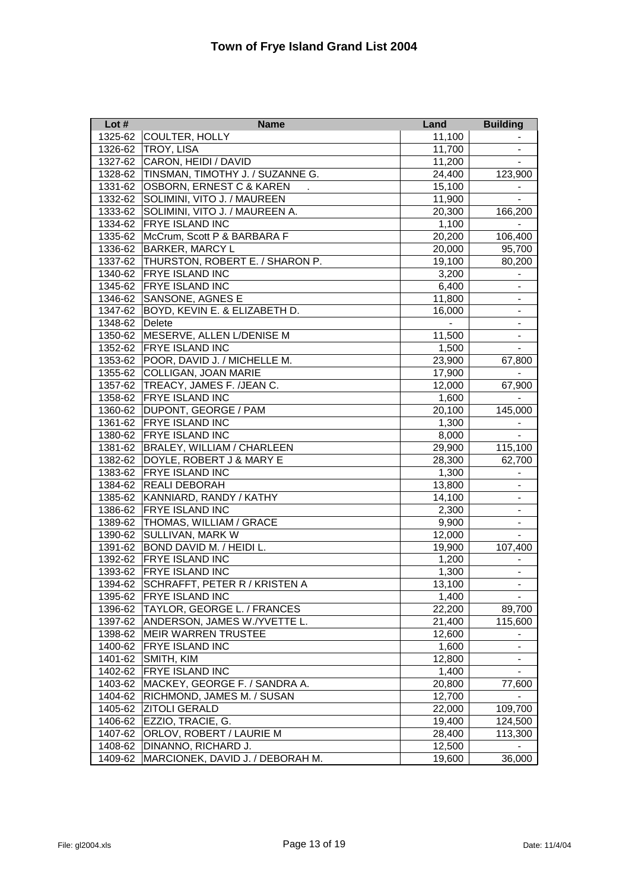| Lot $#$ | <b>Name</b>                              | Land   | <b>Building</b>          |
|---------|------------------------------------------|--------|--------------------------|
| 1325-62 | COULTER, HOLLY                           | 11,100 |                          |
| 1326-62 | <b>TROY, LISA</b>                        | 11,700 |                          |
| 1327-62 | CARON, HEIDI / DAVID                     | 11,200 |                          |
|         | 1328-62 TINSMAN, TIMOTHY J. / SUZANNE G. | 24,400 | 123,900                  |
| 1331-62 | <b>OSBORN, ERNEST C &amp; KAREN</b>      | 15,100 |                          |
| 1332-62 | SOLIMINI, VITO J. / MAUREEN              | 11,900 |                          |
| 1333-62 | SOLIMINI, VITO J. / MAUREEN A.           | 20,300 | 166,200                  |
| 1334-62 | <b>FRYE ISLAND INC</b>                   | 1,100  |                          |
| 1335-62 | McCrum, Scott P & BARBARA F              | 20,200 | 106,400                  |
| 1336-62 | <b>BARKER, MARCY L</b>                   | 20,000 | 95,700                   |
| 1337-62 | THURSTON, ROBERT E. / SHARON P.          | 19,100 | 80,200                   |
| 1340-62 | <b>FRYE ISLAND INC</b>                   | 3,200  | $\blacksquare$           |
| 1345-62 | <b>FRYE ISLAND INC</b>                   | 6,400  | $\blacksquare$           |
| 1346-62 | SANSONE, AGNES E                         | 11,800 | $\blacksquare$           |
| 1347-62 | BOYD, KEVIN E. & ELIZABETH D.            | 16,000 | $\overline{\phantom{a}}$ |
| 1348-62 | Delete                                   |        | $\overline{\phantom{a}}$ |
| 1350-62 | MESERVE, ALLEN L/DENISE M                | 11,500 | $\blacksquare$           |
|         | 1352-62 FRYE ISLAND INC                  | 1,500  | $\overline{\phantom{a}}$ |
| 1353-62 | POOR, DAVID J. / MICHELLE M.             | 23,900 | 67,800                   |
| 1355-62 | <b>COLLIGAN, JOAN MARIE</b>              | 17,900 |                          |
| 1357-62 | TREACY, JAMES F. /JEAN C.                | 12,000 | 67,900                   |
| 1358-62 | <b>FRYE ISLAND INC</b>                   | 1,600  | $\overline{\phantom{a}}$ |
| 1360-62 | DUPONT, GEORGE / PAM                     | 20,100 | 145,000                  |
| 1361-62 | <b>FRYE ISLAND INC</b>                   | 1,300  | $\overline{\phantom{a}}$ |
| 1380-62 | <b>FRYE ISLAND INC</b>                   | 8,000  | $\blacksquare$           |
| 1381-62 | <b>BRALEY, WILLIAM / CHARLEEN</b>        | 29,900 | 115,100                  |
| 1382-62 | DOYLE, ROBERT J & MARY E                 | 28,300 | 62,700                   |
| 1383-62 | <b>FRYE ISLAND INC</b>                   | 1,300  |                          |
| 1384-62 | <b>REALI DEBORAH</b>                     | 13,800 |                          |
| 1385-62 | KANNIARD, RANDY / KATHY                  | 14,100 |                          |
| 1386-62 | <b>FRYE ISLAND INC</b>                   | 2,300  |                          |
| 1389-62 | THOMAS, WILLIAM / GRACE                  | 9,900  |                          |
| 1390-62 | <b>SULLIVAN, MARK W</b>                  | 12,000 |                          |
| 1391-62 | BOND DAVID M. / HEIDI L.                 | 19,900 | 107,400                  |
| 1392-62 | <b>FRYE ISLAND INC</b>                   | 1,200  |                          |
| 1393-62 | <b>FRYE ISLAND INC</b>                   | 1,300  |                          |
| 1394-62 | <b>SCHRAFFT, PETER R / KRISTEN A</b>     | 13,100 | $\overline{\phantom{a}}$ |
| 1395-62 | <b>FRYE ISLAND INC</b>                   | 1,400  | $\sim$                   |
| 1396-62 | TAYLOR, GEORGE L. / FRANCES              | 22,200 | 89,700                   |
| 1397-62 | ANDERSON, JAMES W./YVETTE L.             | 21,400 | 115,600                  |
| 1398-62 | <b>MEIR WARREN TRUSTEE</b>               | 12,600 |                          |
| 1400-62 | <b>FRYE ISLAND INC</b>                   | 1,600  |                          |
| 1401-62 | SMITH, KIM                               | 12,800 |                          |
| 1402-62 | <b>FRYE ISLAND INC</b>                   | 1,400  |                          |
| 1403-62 | MACKEY, GEORGE F. / SANDRA A.            | 20,800 | 77,600                   |
| 1404-62 | RICHMOND, JAMES M. / SUSAN               | 12,700 |                          |
| 1405-62 | <b>ZITOLI GERALD</b>                     | 22,000 | 109,700                  |
| 1406-62 | EZZIO, TRACIE, G.                        | 19,400 | 124,500                  |
| 1407-62 | ORLOV, ROBERT / LAURIE M                 | 28,400 | 113,300                  |
| 1408-62 | DINANNO, RICHARD J.                      | 12,500 |                          |
| 1409-62 | MARCIONEK, DAVID J. / DEBORAH M.         | 19,600 | 36,000                   |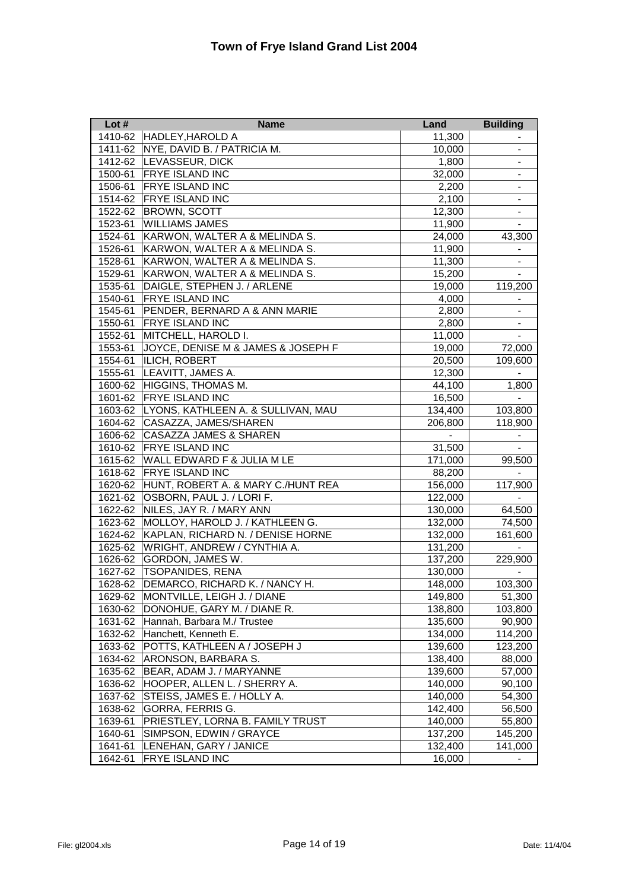| Lot $#$ | <b>Name</b>                        | Land           | <b>Building</b>              |
|---------|------------------------------------|----------------|------------------------------|
| 1410-62 | HADLEY, HAROLD A                   | 11,300         |                              |
| 1411-62 | NYE, DAVID B. / PATRICIA M.        | 10,000         | $\overline{\phantom{a}}$     |
| 1412-62 | LEVASSEUR, DICK                    | 1,800          | $\qquad \qquad \blacksquare$ |
| 1500-61 | <b>FRYE ISLAND INC</b>             | 32,000         | $\blacksquare$               |
| 1506-61 | <b>FRYE ISLAND INC</b>             | 2,200          | $\frac{1}{2}$                |
| 1514-62 | <b>FRYE ISLAND INC</b>             | 2,100          |                              |
| 1522-62 | <b>BROWN, SCOTT</b>                | 12,300         |                              |
| 1523-61 | <b>WILLIAMS JAMES</b>              | 11,900         |                              |
| 1524-61 | KARWON, WALTER A & MELINDA S.      | 24,000         | 43,300                       |
| 1526-61 | KARWON, WALTER A & MELINDA S.      | 11,900         |                              |
| 1528-61 | KARWON, WALTER A & MELINDA S.      | 11,300         |                              |
| 1529-61 | KARWON, WALTER A & MELINDA S.      | 15,200         | $\sim$                       |
| 1535-61 | DAIGLE, STEPHEN J. / ARLENE        | 19,000         | 119,200                      |
| 1540-61 | <b>FRYE ISLAND INC</b>             | 4,000          | $\overline{\phantom{a}}$     |
| 1545-61 | PENDER, BERNARD A & ANN MARIE      | 2,800          | $\overline{\phantom{0}}$     |
| 1550-61 | <b>FRYE ISLAND INC</b>             | 2,800          | $\overline{\phantom{a}}$     |
| 1552-61 | MITCHELL, HAROLD I.                | 11,000         | $\overline{\phantom{a}}$     |
| 1553-61 | JOYCE, DENISE M & JAMES & JOSEPH F | 19,000         | 72,000                       |
| 1554-61 | <b>ILICH, ROBERT</b>               | 20,500         | 109,600                      |
| 1555-61 | LEAVITT, JAMES A.                  | 12,300         |                              |
| 1600-62 | <b>HIGGINS, THOMAS M.</b>          | 44,100         | 1,800                        |
| 1601-62 | <b>FRYE ISLAND INC</b>             | 16,500         | $\qquad \qquad \blacksquare$ |
| 1603-62 | LYONS, KATHLEEN A. & SULLIVAN, MAU | 134,400        | 103,800                      |
| 1604-62 | CASAZZA, JAMES/SHAREN              | 206,800        | 118,900                      |
| 1606-62 | <b>CASAZZA JAMES &amp; SHAREN</b>  | $\blacksquare$ |                              |
| 1610-62 | <b>FRYE ISLAND INC</b>             | 31,500         |                              |
| 1615-62 | WALL EDWARD F & JULIA M LE         | 171,000        | 99,500                       |
| 1618-62 | <b>FRYE ISLAND INC</b>             | 88,200         |                              |
| 1620-62 | HUNT, ROBERT A. & MARY C./HUNT REA | 156,000        | 117,900                      |
| 1621-62 | OSBORN, PAUL J. / LORI F.          | 122,000        |                              |
| 1622-62 | NILES, JAY R. / MARY ANN           | 130,000        | 64,500                       |
| 1623-62 | MOLLOY, HAROLD J. / KATHLEEN G.    | 132,000        | 74,500                       |
| 1624-62 | KAPLAN, RICHARD N. / DENISE HORNE  | 132,000        | 161,600                      |
| 1625-62 | WRIGHT, ANDREW / CYNTHIA A.        | 131,200        |                              |
| 1626-62 | GORDON, JAMES W.                   | 137,200        | 229,900                      |
| 1627-62 | <b>TSOPANIDES, RENA</b>            | 130,000        |                              |
| 1628-62 | DEMARCO, RICHARD K. / NANCY H.     | 148,000        | 103,300                      |
| 1629-62 | MONTVILLE, LEIGH J. / DIANE        | 149,800        | 51,300                       |
| 1630-62 | DONOHUE, GARY M. / DIANE R.        | 138,800        | 103,800                      |
| 1631-62 | Hannah, Barbara M./ Trustee        | 135,600        | 90,900                       |
| 1632-62 | Hanchett, Kenneth E.               | 134,000        | 114,200                      |
| 1633-62 | POTTS, KATHLEEN A / JOSEPH J       | 139,600        | 123,200                      |
| 1634-62 | ARONSON, BARBARA S.                | 138,400        | 88,000                       |
| 1635-62 | BEAR, ADAM J. / MARYANNE           | 139,600        | 57,000                       |
| 1636-62 | HOOPER, ALLEN L. / SHERRY A.       | 140,000        | 90,100                       |
| 1637-62 | STEISS, JAMES E. / HOLLY A.        | 140,000        | 54,300                       |
| 1638-62 | GORRA, FERRIS G.                   | 142,400        | 56,500                       |
| 1639-61 | PRIESTLEY, LORNA B. FAMILY TRUST   | 140,000        | 55,800                       |
| 1640-61 | SIMPSON, EDWIN / GRAYCE            | 137,200        | 145,200                      |
| 1641-61 | LENEHAN, GARY / JANICE             | 132,400        | 141,000                      |
| 1642-61 | FRYE ISLAND INC                    | 16,000         | $\overline{\phantom{a}}$     |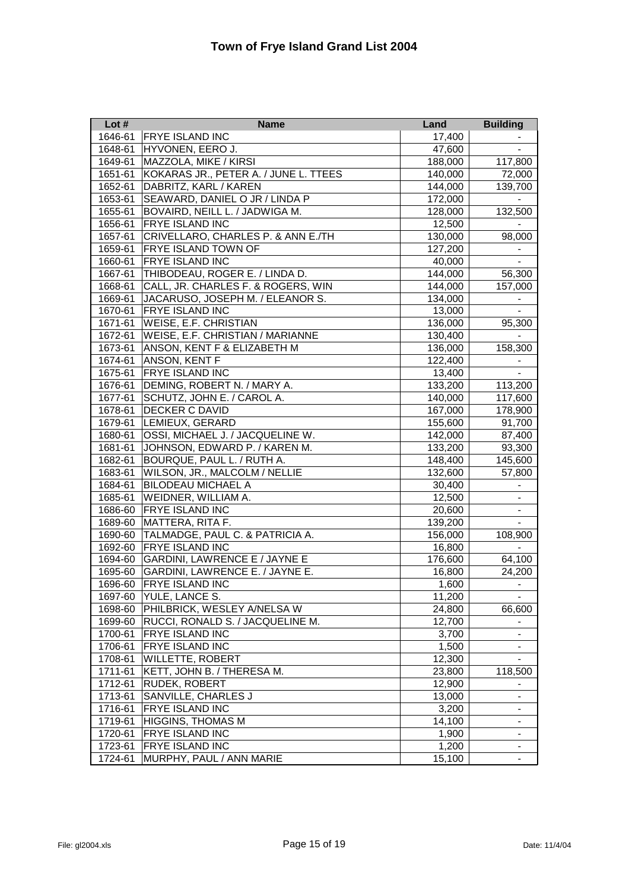| Lot $#$ | <b>Name</b>                             | Land    | <b>Building</b>          |
|---------|-----------------------------------------|---------|--------------------------|
| 1646-61 | <b>FRYE ISLAND INC</b>                  | 17,400  |                          |
| 1648-61 | HYVONEN, EERO J.                        | 47,600  |                          |
| 1649-61 | MAZZOLA, MIKE / KIRSI                   | 188,000 | 117,800                  |
| 1651-61 | KOKARAS JR., PETER A. / JUNE L. TTEES   | 140,000 | 72,000                   |
| 1652-61 | DABRITZ, KARL / KAREN                   | 144,000 | 139,700                  |
| 1653-61 | SEAWARD, DANIEL O JR / LINDA P          | 172,000 |                          |
| 1655-61 | BOVAIRD, NEILL L. / JADWIGA M.          | 128,000 | 132,500                  |
| 1656-61 | <b>FRYE ISLAND INC</b>                  | 12,500  |                          |
| 1657-61 | CRIVELLARO, CHARLES P. & ANN E./TH      | 130,000 | 98,000                   |
| 1659-61 | <b>FRYE ISLAND TOWN OF</b>              | 127,200 |                          |
| 1660-61 | <b>FRYE ISLAND INC</b>                  | 40,000  |                          |
| 1667-61 | THIBODEAU, ROGER E. / LINDA D.          | 144,000 | 56,300                   |
| 1668-61 | CALL, JR. CHARLES F. & ROGERS, WIN      | 144,000 | 157,000                  |
| 1669-61 | JACARUSO, JOSEPH M. / ELEANOR S.        | 134,000 |                          |
| 1670-61 | <b>FRYE ISLAND INC</b>                  | 13,000  | $\blacksquare$           |
| 1671-61 | <b>WEISE, E.F. CHRISTIAN</b>            | 136,000 | 95,300                   |
| 1672-61 | <b>WEISE, E.F. CHRISTIAN / MARIANNE</b> | 130,400 |                          |
| 1673-61 | ANSON, KENT F & ELIZABETH M             | 136,000 | 158,300                  |
| 1674-61 | ANSON, KENT F                           | 122,400 |                          |
| 1675-61 | <b>FRYE ISLAND INC</b>                  | 13,400  |                          |
| 1676-61 | DEMING, ROBERT N. / MARY A.             | 133,200 | 113,200                  |
| 1677-61 | SCHUTZ, JOHN E. / CAROL A.              | 140,000 | 117,600                  |
| 1678-61 | DECKER C DAVID                          | 167,000 | 178,900                  |
| 1679-61 | LEMIEUX, GERARD                         | 155,600 | 91,700                   |
| 1680-61 | OSSI, MICHAEL J. / JACQUELINE W.        | 142,000 | 87,400                   |
| 1681-61 | JOHNSON, EDWARD P. / KAREN M.           | 133,200 | 93,300                   |
| 1682-61 | BOURQUE, PAUL L. / RUTH A.              | 148,400 | 145,600                  |
| 1683-61 | WILSON, JR., MALCOLM / NELLIE           | 132,600 | 57,800                   |
| 1684-61 | BILODEAU MICHAEL A                      | 30,400  | $\overline{\phantom{0}}$ |
| 1685-61 | WEIDNER, WILLIAM A.                     | 12,500  |                          |
| 1686-60 | <b>FRYE ISLAND INC</b>                  | 20,600  | $\overline{\phantom{a}}$ |
| 1689-60 | MATTERA, RITA F.                        | 139,200 |                          |
| 1690-60 | TALMADGE, PAUL C. & PATRICIA A.         | 156,000 | 108,900                  |
| 1692-60 | <b>FRYE ISLAND INC</b>                  | 16,800  |                          |
| 1694-60 | GARDINI, LAWRENCE E / JAYNE E           | 176,600 | 64,100                   |
| 1695-60 | GARDINI, LAWRENCE E. / JAYNE E.         | 16,800  | 24,200                   |
| 1696-60 | <b>FRYE ISLAND INC</b>                  | 1,600   | $\blacksquare$           |
| 1697-60 | YULE, LANCE S.                          | 11,200  |                          |
| 1698-60 | PHILBRICK, WESLEY A/NELSA W             | 24,800  | 66,600                   |
| 1699-60 | RUCCI, RONALD S. / JACQUELINE M.        | 12,700  |                          |
| 1700-61 | FRYE ISLAND INC                         | 3,700   | $\overline{\phantom{a}}$ |
| 1706-61 | FRYE ISLAND INC                         | 1,500   | $\blacksquare$           |
| 1708-61 | WILLETTE, ROBERT                        | 12,300  |                          |
| 1711-61 | KETT, JOHN B. / THERESA M.              | 23,800  | 118,500                  |
| 1712-61 | <b>RUDEK, ROBERT</b>                    | 12,900  |                          |
| 1713-61 | SANVILLE, CHARLES J                     | 13,000  |                          |
| 1716-61 | FRYE ISLAND INC                         | 3,200   | $\blacksquare$           |
| 1719-61 | <b>HIGGINS, THOMAS M</b>                | 14,100  | -                        |
| 1720-61 | <b>FRYE ISLAND INC</b>                  | 1,900   | ۰.                       |
| 1723-61 | <b>FRYE ISLAND INC</b>                  | 1,200   |                          |
| 1724-61 | MURPHY, PAUL / ANN MARIE                | 15,100  | $\blacksquare$           |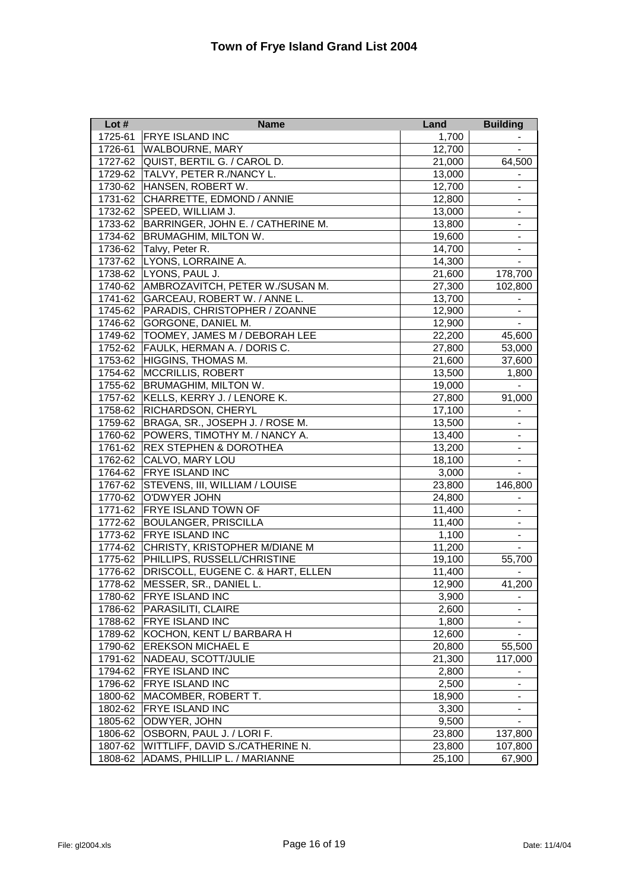| Lot $#$ | <b>Name</b>                           | Land   | <b>Building</b>              |
|---------|---------------------------------------|--------|------------------------------|
| 1725-61 | <b>FRYE ISLAND INC</b>                | 1,700  |                              |
| 1726-61 | <b>WALBOURNE, MARY</b>                | 12,700 |                              |
| 1727-62 | QUIST, BERTIL G. / CAROL D.           | 21,000 | 64,500                       |
| 1729-62 | TALVY, PETER R./NANCY L.              | 13,000 |                              |
| 1730-62 | HANSEN, ROBERT W.                     | 12,700 | $\overline{\phantom{0}}$     |
| 1731-62 | CHARRETTE, EDMOND / ANNIE             | 12,800 | $\overline{\phantom{0}}$     |
| 1732-62 | SPEED, WILLIAM J.                     | 13,000 | $\overline{\phantom{0}}$     |
| 1733-62 | BARRINGER, JOHN E. / CATHERINE M.     | 13,800 |                              |
| 1734-62 | <b>BRUMAGHIM, MILTON W.</b>           | 19,600 |                              |
| 1736-62 | Talvy, Peter R.                       | 14,700 |                              |
| 1737-62 | LYONS, LORRAINE A.                    | 14,300 |                              |
| 1738-62 | LYONS, PAUL J.                        | 21,600 | 178,700                      |
| 1740-62 | AMBROZAVITCH, PETER W./SUSAN M.       | 27,300 | 102,800                      |
| 1741-62 | GARCEAU, ROBERT W. / ANNE L.          | 13,700 |                              |
| 1745-62 | PARADIS, CHRISTOPHER / ZOANNE         | 12,900 | $\overline{\phantom{a}}$     |
| 1746-62 | <b>GORGONE, DANIEL M.</b>             | 12,900 | $\blacksquare$               |
| 1749-62 | <b>TOOMEY, JAMES M / DEBORAH LEE</b>  | 22,200 | 45,600                       |
| 1752-62 | FAULK, HERMAN A. / DORIS C.           | 27,800 | 53,000                       |
|         | 1753-62 HIGGINS, THOMAS M.            | 21,600 | 37,600                       |
|         | 1754-62 MCCRILLIS, ROBERT             | 13,500 | 1,800                        |
|         | 1755-62 BRUMAGHIM, MILTON W.          | 19,000 |                              |
| 1757-62 | KELLS, KERRY J. / LENORE K.           | 27,800 | 91,000                       |
| 1758-62 | <b>RICHARDSON, CHERYL</b>             | 17,100 |                              |
| 1759-62 | BRAGA, SR., JOSEPH J. / ROSE M.       | 13,500 | $\overline{\phantom{0}}$     |
| 1760-62 | POWERS, TIMOTHY M. / NANCY A.         | 13,400 | $\qquad \qquad \blacksquare$ |
| 1761-62 | <b>REX STEPHEN &amp; DOROTHEA</b>     | 13,200 | $\overline{\phantom{0}}$     |
| 1762-62 | CALVO, MARY LOU                       | 18,100 | $\overline{\phantom{a}}$     |
| 1764-62 | <b>FRYE ISLAND INC</b>                | 3,000  | $\overline{\phantom{a}}$     |
| 1767-62 | <b>STEVENS, III, WILLIAM / LOUISE</b> | 23,800 | 146,800                      |
| 1770-62 | O'DWYER JOHN                          | 24,800 |                              |
| 1771-62 | <b>FRYE ISLAND TOWN OF</b>            | 11,400 |                              |
| 1772-62 | <b>BOULANGER, PRISCILLA</b>           | 11,400 | $\overline{\phantom{a}}$     |
| 1773-62 | <b>FRYE ISLAND INC</b>                | 1,100  |                              |
| 1774-62 | CHRISTY, KRISTOPHER M/DIANE M         | 11,200 |                              |
| 1775-62 | PHILLIPS, RUSSELL/CHRISTINE           | 19,100 | 55,700                       |
| 1776-62 | DRISCOLL, EUGENE C. & HART, ELLEN     | 11,400 |                              |
| 1778-62 | MESSER, SR., DANIEL L.                | 12,900 | 41,200                       |
| 1780-62 | <b>FRYE ISLAND INC</b>                | 3,900  |                              |
| 1786-62 | PARASILITI, CLAIRE                    | 2,600  |                              |
| 1788-62 | <b>FRYE ISLAND INC</b>                | 1,800  |                              |
| 1789-62 | KOCHON, KENT L/ BARBARA H             | 12,600 | Ξ.                           |
| 1790-62 | <b>EREKSON MICHAEL E</b>              | 20,800 | 55,500                       |
| 1791-62 | NADEAU, SCOTT/JULIE                   | 21,300 | 117,000                      |
| 1794-62 | <b>FRYE ISLAND INC</b>                | 2,800  |                              |
| 1796-62 | <b>FRYE ISLAND INC</b>                | 2,500  |                              |
| 1800-62 | MACOMBER, ROBERT T.                   | 18,900 |                              |
| 1802-62 | <b>FRYE ISLAND INC</b>                | 3,300  | -                            |
| 1805-62 | ODWYER, JOHN                          | 9,500  |                              |
| 1806-62 | OSBORN, PAUL J. / LORI F.             | 23,800 | 137,800                      |
| 1807-62 | WITTLIFF, DAVID S./CATHERINE N.       | 23,800 | 107,800                      |
| 1808-62 | ADAMS, PHILLIP L. / MARIANNE          | 25,100 | 67,900                       |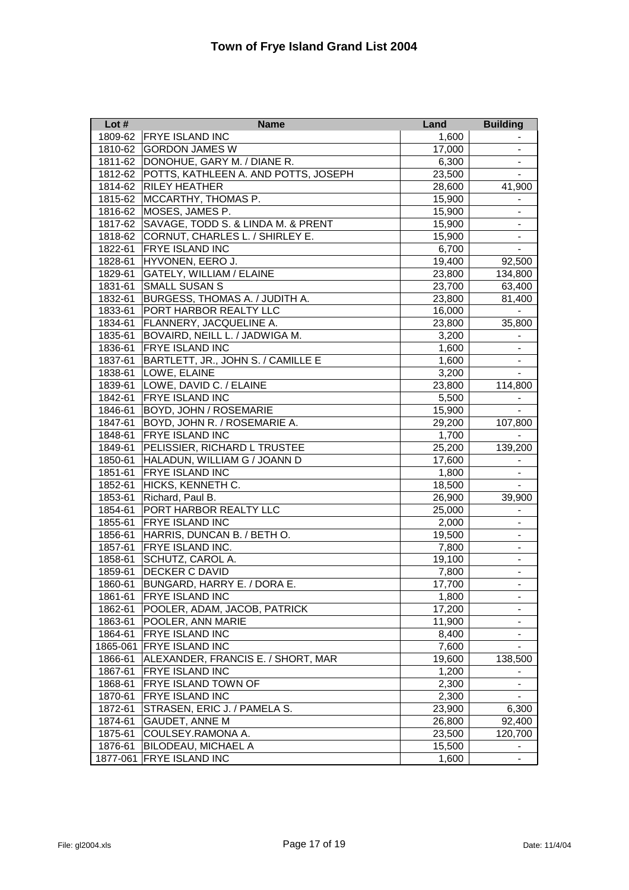| Lot $#$  | <b>Name</b>                          | Land   | <b>Building</b>              |
|----------|--------------------------------------|--------|------------------------------|
| 1809-62  | <b>FRYE ISLAND INC</b>               | 1,600  |                              |
| 1810-62  | <b>GORDON JAMES W</b>                | 17,000 |                              |
| 1811-62  | DONOHUE, GARY M. / DIANE R.          | 6,300  | $\overline{\phantom{0}}$     |
| 1812-62  | POTTS, KATHLEEN A. AND POTTS, JOSEPH | 23,500 | $\overline{\phantom{0}}$     |
| 1814-62  | <b>RILEY HEATHER</b>                 | 28,600 | 41,900                       |
| 1815-62  | MCCARTHY, THOMAS P.                  | 15,900 |                              |
| 1816-62  | MOSES, JAMES P.                      | 15,900 |                              |
| 1817-62  | SAVAGE, TODD S. & LINDA M. & PRENT   | 15,900 |                              |
| 1818-62  | CORNUT, CHARLES L. / SHIRLEY E.      | 15,900 |                              |
| 1822-61  | <b>FRYE ISLAND INC</b>               | 6,700  |                              |
| 1828-61  | HYVONEN, EERO J.                     | 19,400 | 92,500                       |
| 1829-61  | <b>GATELY, WILLIAM / ELAINE</b>      | 23,800 | 134,800                      |
| 1831-61  | <b>SMALL SUSAN S</b>                 | 23,700 | 63,400                       |
| 1832-61  | BURGESS, THOMAS A. / JUDITH A.       | 23,800 | 81,400                       |
| 1833-61  | PORT HARBOR REALTY LLC               | 16,000 | $\blacksquare$               |
| 1834-61  | FLANNERY, JACQUELINE A.              | 23,800 | 35,800                       |
| 1835-61  | BOVAIRD, NEILL L. / JADWIGA M.       | 3,200  | $\overline{\phantom{a}}$     |
| 1836-61  | <b>FRYE ISLAND INC</b>               | 1,600  | $\overline{\phantom{a}}$     |
| 1837-61  | BARTLETT, JR., JOHN S. / CAMILLE E   | 1,600  | $\overline{\phantom{a}}$     |
| 1838-61  | LOWE, ELAINE                         | 3,200  |                              |
| 1839-61  | LOWE, DAVID C. / ELAINE              | 23,800 | 114,800                      |
| 1842-61  | <b>FRYE ISLAND INC</b>               | 5,500  |                              |
| 1846-61  | <b>BOYD, JOHN / ROSEMARIE</b>        | 15,900 |                              |
| 1847-61  | BOYD, JOHN R. / ROSEMARIE A.         | 29,200 | 107,800                      |
| 1848-61  | <b>FRYE ISLAND INC</b>               | 1,700  |                              |
| 1849-61  | PELISSIER, RICHARD L TRUSTEE         | 25,200 | 139,200                      |
| 1850-61  | HALADUN, WILLIAM G / JOANN D         | 17,600 |                              |
| 1851-61  | FRYE ISLAND INC                      | 1,800  | $\overline{\phantom{a}}$     |
| 1852-61  | HICKS, KENNETH C.                    | 18,500 | $\overline{\phantom{a}}$     |
| 1853-61  | Richard, Paul B.                     | 26,900 | 39,900                       |
| 1854-61  | PORT HARBOR REALTY LLC               | 25,000 | $\overline{\phantom{0}}$     |
| 1855-61  | <b>FRYE ISLAND INC</b>               | 2,000  | $\overline{\phantom{a}}$     |
| 1856-61  | HARRIS, DUNCAN B. / BETH O.          | 19,500 |                              |
| 1857-61  | <b>FRYE ISLAND INC.</b>              | 7,800  |                              |
| 1858-61  | SCHUTZ, CAROL A.                     | 19,100 |                              |
| 1859-61  | <b>DECKER C DAVID</b>                | 7,800  |                              |
| 1860-61  | BUNGARD, HARRY E. / DORA E.          | 17,700 | $\overline{\phantom{a}}$     |
| 1861-61  | FRYE ISLAND INC                      | 1,800  |                              |
| 1862-61  | POOLER, ADAM, JACOB, PATRICK         | 17,200 |                              |
| 1863-61  | POOLER, ANN MARIE                    | 11,900 |                              |
| 1864-61  | FRYE ISLAND INC                      | 8,400  | $\overline{\phantom{0}}$     |
| 1865-061 | <b>FRYE ISLAND INC</b>               | 7,600  |                              |
| 1866-61  | ALEXANDER, FRANCIS E. / SHORT, MAR   | 19,600 | 138,500                      |
| 1867-61  | <b>FRYE ISLAND INC</b>               | 1,200  |                              |
| 1868-61  | <b>FRYE ISLAND TOWN OF</b>           | 2,300  |                              |
| 1870-61  | <b>FRYE ISLAND INC</b>               | 2,300  |                              |
| 1872-61  | STRASEN, ERIC J. / PAMELA S.         | 23,900 | 6,300                        |
| 1874-61  | <b>GAUDET, ANNE M</b>                | 26,800 | 92,400                       |
| 1875-61  | COULSEY.RAMONA A.                    | 23,500 | 120,700                      |
| 1876-61  | <b>BILODEAU, MICHAEL A</b>           | 15,500 | -                            |
| 1877-061 | <b>FRYE ISLAND INC</b>               | 1,600  | $\qquad \qquad \blacksquare$ |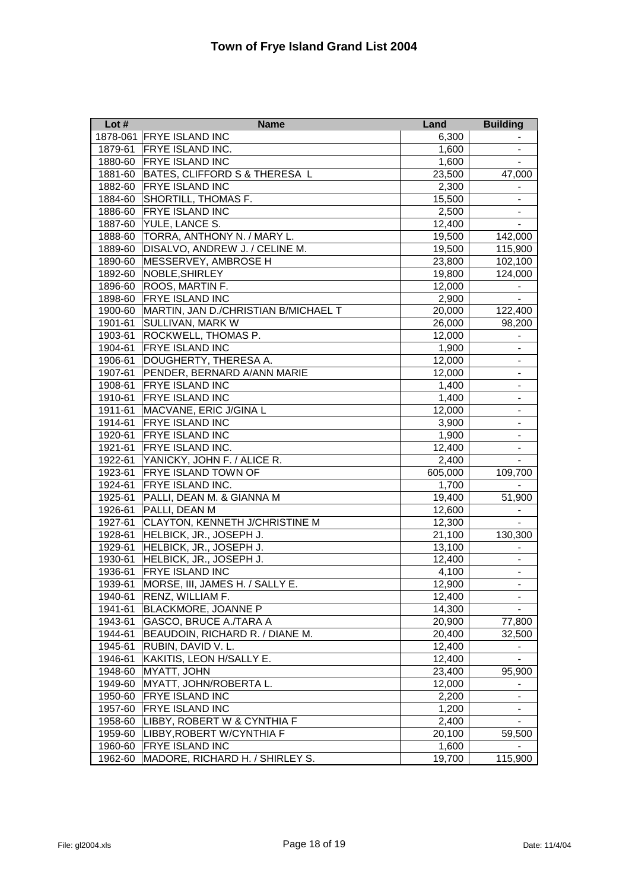| Lot $#$ | <b>Name</b>                          | Land    | <b>Building</b>              |
|---------|--------------------------------------|---------|------------------------------|
|         | 1878-061 FRYE ISLAND INC             | 6,300   |                              |
| 1879-61 | <b>FRYE ISLAND INC.</b>              | 1,600   | $\blacksquare$               |
| 1880-60 | <b>FRYE ISLAND INC</b>               | 1,600   |                              |
| 1881-60 | BATES, CLIFFORD S & THERESA L        | 23,500  | 47,000                       |
| 1882-60 | <b>FRYE ISLAND INC</b>               | 2,300   |                              |
| 1884-60 | <b>SHORTILL, THOMAS F.</b>           | 15,500  |                              |
| 1886-60 | <b>FRYE ISLAND INC</b>               | 2,500   |                              |
| 1887-60 | YULE, LANCE S.                       | 12,400  |                              |
| 1888-60 | TORRA, ANTHONY N. / MARY L.          | 19,500  | 142,000                      |
| 1889-60 | DISALVO, ANDREW J. / CELINE M.       | 19,500  | 115,900                      |
| 1890-60 | MESSERVEY, AMBROSE H                 | 23,800  | 102,100                      |
| 1892-60 | NOBLE, SHIRLEY                       | 19,800  | 124,000                      |
| 1896-60 | ROOS, MARTIN F.                      | 12,000  | $\blacksquare$               |
| 1898-60 | <b>FRYE ISLAND INC</b>               | 2,900   | $\blacksquare$               |
| 1900-60 | MARTIN, JAN D./CHRISTIAN B/MICHAEL T | 20,000  | 122,400                      |
| 1901-61 | <b>SULLIVAN, MARK W</b>              | 26,000  | 98,200                       |
| 1903-61 | <b>ROCKWELL, THOMAS P.</b>           | 12,000  | $\overline{\phantom{a}}$     |
| 1904-61 | <b>FRYE ISLAND INC</b>               | 1,900   | $\overline{\phantom{a}}$     |
| 1906-61 | DOUGHERTY, THERESA A.                | 12,000  | $\blacksquare$               |
| 1907-61 | PENDER, BERNARD A/ANN MARIE          | 12,000  | $\qquad \qquad \blacksquare$ |
| 1908-61 | <b>FRYE ISLAND INC</b>               | 1,400   | $\blacksquare$               |
| 1910-61 | <b>FRYE ISLAND INC</b>               | 1,400   | $\overline{\phantom{0}}$     |
| 1911-61 | MACVANE, ERIC J/GINA L               | 12,000  | $\blacksquare$               |
| 1914-61 | <b>FRYE ISLAND INC</b>               | 3,900   | $\overline{\phantom{a}}$     |
| 1920-61 | <b>FRYE ISLAND INC</b>               | 1,900   | $\overline{\phantom{a}}$     |
| 1921-61 | <b>FRYE ISLAND INC.</b>              | 12,400  | $\overline{\phantom{a}}$     |
| 1922-61 | YANICKY, JOHN F. / ALICE R.          | 2,400   |                              |
| 1923-61 | <b>FRYE ISLAND TOWN OF</b>           | 605,000 | 109,700                      |
| 1924-61 | FRYE ISLAND INC.                     | 1,700   |                              |
| 1925-61 | PALLI, DEAN M. & GIANNA M            | 19,400  | 51,900                       |
| 1926-61 | PALLI, DEAN M                        | 12,600  |                              |
| 1927-61 | CLAYTON, KENNETH J/CHRISTINE M       | 12,300  |                              |
| 1928-61 | HELBICK, JR., JOSEPH J.              | 21,100  | 130,300                      |
| 1929-61 | HELBICK, JR., JOSEPH J.              | 13,100  |                              |
| 1930-61 | HELBICK, JR., JOSEPH J.              | 12,400  |                              |
| 1936-61 | <b>FRYE ISLAND INC</b>               | 4,100   |                              |
| 1939-61 | MORSE, III, JAMES H. / SALLY E.      | 12,900  | $\overline{\phantom{a}}$     |
| 1940-61 | RENZ, WILLIAM F.                     | 12,400  | $\overline{\phantom{0}}$     |
| 1941-61 | BLACKMORE, JOANNE P                  | 14,300  | $\overline{\phantom{0}}$     |
| 1943-61 | GASCO, BRUCE A./TARA A               | 20,900  | 77,800                       |
| 1944-61 | BEAUDOIN, RICHARD R. / DIANE M.      | 20,400  | 32,500                       |
| 1945-61 | RUBIN, DAVID V. L.                   | 12,400  |                              |
| 1946-61 | KAKITIS, LEON H/SALLY E.             | 12,400  |                              |
| 1948-60 | <b>MYATT, JOHN</b>                   | 23,400  | 95.900                       |
| 1949-60 | MYATT, JOHN/ROBERTA L.               | 12,000  |                              |
| 1950-60 | <b>FRYE ISLAND INC</b>               | 2,200   | -                            |
| 1957-60 | <b>FRYE ISLAND INC</b>               | 1,200   |                              |
| 1958-60 | LIBBY, ROBERT W & CYNTHIA F          | 2,400   |                              |
| 1959-60 | LIBBY,ROBERT W/CYNTHIA F             | 20,100  | 59,500                       |
| 1960-60 | <b>FRYE ISLAND INC</b>               | 1,600   |                              |
| 1962-60 | MADORE, RICHARD H. / SHIRLEY S.      | 19,700  | 115,900                      |